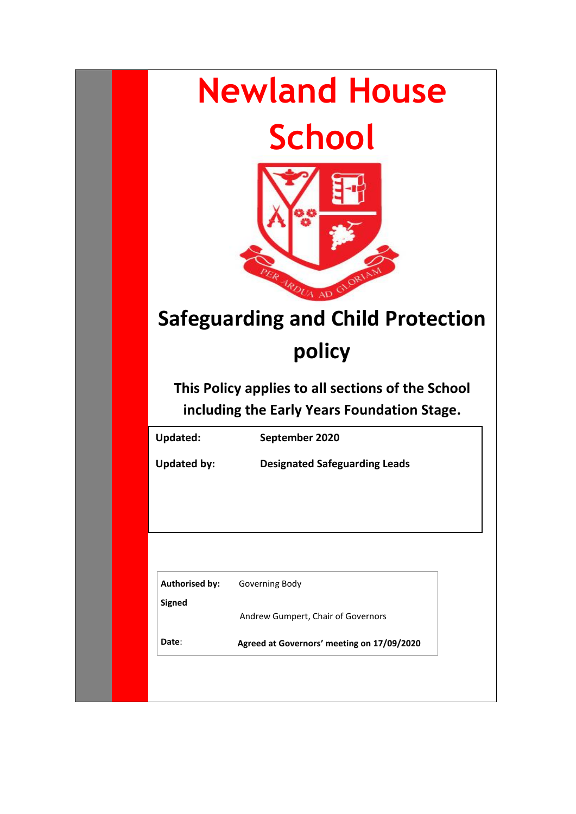| <b>Newland House</b><br><b>School</b><br>ER ARDUA AD<br><b>Safeguarding and Child Protection</b><br>policy<br>This Policy applies to all sections of the School<br>including the Early Years Foundation Stage. |                                                      |  |
|----------------------------------------------------------------------------------------------------------------------------------------------------------------------------------------------------------------|------------------------------------------------------|--|
| <b>Updated:</b>                                                                                                                                                                                                | September 2020                                       |  |
| <b>Updated by:</b>                                                                                                                                                                                             | <b>Designated Safeguarding Leads</b>                 |  |
| <b>Authorised by:</b><br><b>Signed</b><br>Date:                                                                                                                                                                | Governing Body<br>Andrew Gumpert, Chair of Governors |  |
|                                                                                                                                                                                                                | Agreed at Governors' meeting on 17/09/2020           |  |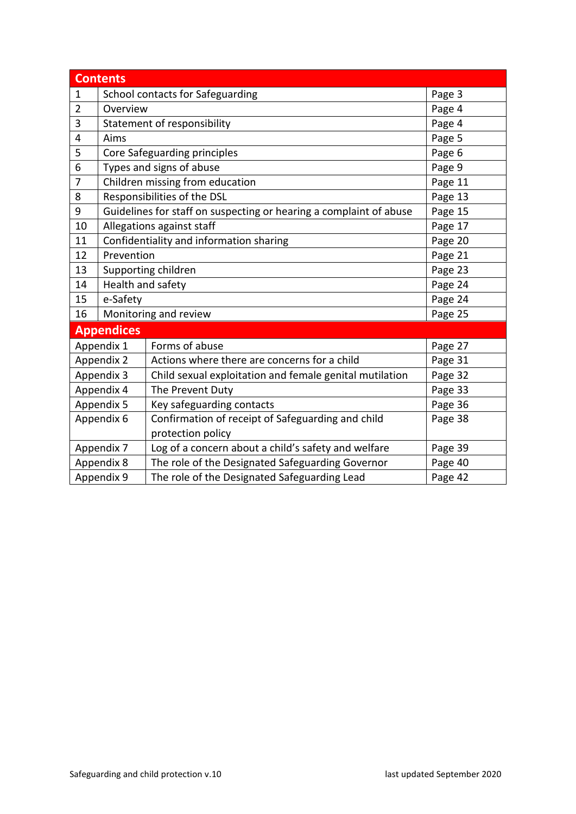| <b>Contents</b>   |                                                                               |                                                         |         |  |
|-------------------|-------------------------------------------------------------------------------|---------------------------------------------------------|---------|--|
| $\mathbf 1$       | School contacts for Safeguarding                                              | Page 3                                                  |         |  |
| $\overline{2}$    | Overview                                                                      |                                                         | Page 4  |  |
| 3                 | Statement of responsibility                                                   |                                                         | Page 4  |  |
| 4                 | Aims                                                                          | Page 5                                                  |         |  |
| 5                 | Core Safeguarding principles                                                  |                                                         | Page 6  |  |
| 6                 | Types and signs of abuse                                                      |                                                         | Page 9  |  |
| 7                 | Children missing from education<br>Page 11                                    |                                                         |         |  |
| 8                 | Responsibilities of the DSL<br>Page 13                                        |                                                         |         |  |
| 9                 | Guidelines for staff on suspecting or hearing a complaint of abuse<br>Page 15 |                                                         |         |  |
| 10                |                                                                               | Allegations against staff<br>Page 17                    |         |  |
| 11                |                                                                               | Confidentiality and information sharing                 | Page 20 |  |
| 12                | Prevention                                                                    |                                                         |         |  |
| 13                | Page 21<br>Page 23<br>Supporting children                                     |                                                         |         |  |
| 14                | Health and safety<br>Page 24                                                  |                                                         |         |  |
| 15                | e-Safety                                                                      |                                                         | Page 24 |  |
| 16                | Monitoring and review                                                         |                                                         | Page 25 |  |
| <b>Appendices</b> |                                                                               |                                                         |         |  |
|                   | Appendix 1                                                                    | Forms of abuse                                          | Page 27 |  |
|                   | Appendix 2                                                                    | Actions where there are concerns for a child            | Page 31 |  |
| Appendix 3        |                                                                               | Child sexual exploitation and female genital mutilation | Page 32 |  |
| Appendix 4        |                                                                               | The Prevent Duty                                        | Page 33 |  |
| Appendix 5        |                                                                               | Key safeguarding contacts                               | Page 36 |  |
| Appendix 6        |                                                                               | Confirmation of receipt of Safeguarding and child       | Page 38 |  |
|                   |                                                                               | protection policy                                       |         |  |
| Appendix 7        |                                                                               | Log of a concern about a child's safety and welfare     | Page 39 |  |
| Appendix 8        |                                                                               | The role of the Designated Safeguarding Governor        | Page 40 |  |
| Appendix 9        |                                                                               | The role of the Designated Safeguarding Lead            | Page 42 |  |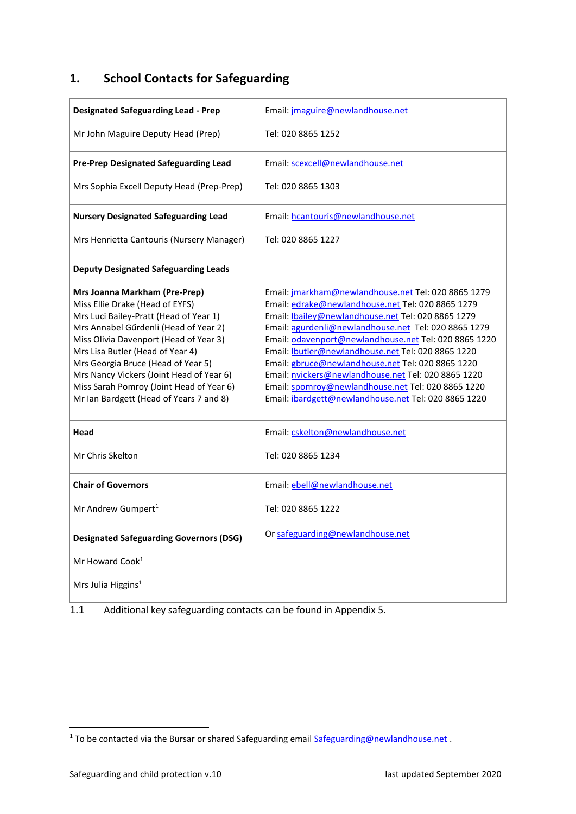# <span id="page-2-0"></span>**1. School Contacts for Safeguarding**

| <b>Designated Safeguarding Lead - Prep</b>                                                                                                                                                                                                                                                                                                                                                                 | Email: jmaguire@newlandhouse.net                                                                                                                                                                                                                                                                                                                                                                                                                                                                                                                                      |  |
|------------------------------------------------------------------------------------------------------------------------------------------------------------------------------------------------------------------------------------------------------------------------------------------------------------------------------------------------------------------------------------------------------------|-----------------------------------------------------------------------------------------------------------------------------------------------------------------------------------------------------------------------------------------------------------------------------------------------------------------------------------------------------------------------------------------------------------------------------------------------------------------------------------------------------------------------------------------------------------------------|--|
| Mr John Maguire Deputy Head (Prep)                                                                                                                                                                                                                                                                                                                                                                         | Tel: 020 8865 1252                                                                                                                                                                                                                                                                                                                                                                                                                                                                                                                                                    |  |
| <b>Pre-Prep Designated Safeguarding Lead</b>                                                                                                                                                                                                                                                                                                                                                               | Email: scexcell@newlandhouse.net                                                                                                                                                                                                                                                                                                                                                                                                                                                                                                                                      |  |
| Mrs Sophia Excell Deputy Head (Prep-Prep)                                                                                                                                                                                                                                                                                                                                                                  | Tel: 020 8865 1303                                                                                                                                                                                                                                                                                                                                                                                                                                                                                                                                                    |  |
| <b>Nursery Designated Safeguarding Lead</b>                                                                                                                                                                                                                                                                                                                                                                | Email: hcantouris@newlandhouse.net                                                                                                                                                                                                                                                                                                                                                                                                                                                                                                                                    |  |
| Mrs Henrietta Cantouris (Nursery Manager)                                                                                                                                                                                                                                                                                                                                                                  | Tel: 020 8865 1227                                                                                                                                                                                                                                                                                                                                                                                                                                                                                                                                                    |  |
| <b>Deputy Designated Safeguarding Leads</b>                                                                                                                                                                                                                                                                                                                                                                |                                                                                                                                                                                                                                                                                                                                                                                                                                                                                                                                                                       |  |
| Mrs Joanna Markham (Pre-Prep)<br>Miss Ellie Drake (Head of EYFS)<br>Mrs Luci Bailey-Pratt (Head of Year 1)<br>Mrs Annabel Gűrdenli (Head of Year 2)<br>Miss Olivia Davenport (Head of Year 3)<br>Mrs Lisa Butler (Head of Year 4)<br>Mrs Georgia Bruce (Head of Year 5)<br>Mrs Nancy Vickers (Joint Head of Year 6)<br>Miss Sarah Pomroy (Joint Head of Year 6)<br>Mr Ian Bardgett (Head of Years 7 and 8) | Email: jmarkham@newlandhouse.net Tel: 020 8865 1279<br>Email: edrake@newlandhouse.net Tel: 020 8865 1279<br>Email: <b>bailey@newlandhouse.net</b> Tel: 020 8865 1279<br>Email: agurdenli@newlandhouse.net Tel: 020 8865 1279<br>Email: odavenport@newlandhouse.net Tel: 020 8865 1220<br>Email: Ibutler@newlandhouse.net Tel: 020 8865 1220<br>Email: gbruce@newlandhouse.net Tel: 020 8865 1220<br>Email: nvickers@newlandhouse.net Tel: 020 8865 1220<br>Email: spomroy@newlandhouse.net Tel: 020 8865 1220<br>Email: ibardgett@newlandhouse.net Tel: 020 8865 1220 |  |
| Head                                                                                                                                                                                                                                                                                                                                                                                                       | Email: cskelton@newlandhouse.net                                                                                                                                                                                                                                                                                                                                                                                                                                                                                                                                      |  |
| Mr Chris Skelton                                                                                                                                                                                                                                                                                                                                                                                           | Tel: 020 8865 1234                                                                                                                                                                                                                                                                                                                                                                                                                                                                                                                                                    |  |
| <b>Chair of Governors</b>                                                                                                                                                                                                                                                                                                                                                                                  | Email: ebell@newlandhouse.net                                                                                                                                                                                                                                                                                                                                                                                                                                                                                                                                         |  |
| Mr Andrew Gumpert <sup>1</sup>                                                                                                                                                                                                                                                                                                                                                                             | Tel: 020 8865 1222                                                                                                                                                                                                                                                                                                                                                                                                                                                                                                                                                    |  |
| <b>Designated Safeguarding Governors (DSG)</b>                                                                                                                                                                                                                                                                                                                                                             | Or safeguarding@newlandhouse.net                                                                                                                                                                                                                                                                                                                                                                                                                                                                                                                                      |  |
| Mr Howard Cook <sup>1</sup>                                                                                                                                                                                                                                                                                                                                                                                |                                                                                                                                                                                                                                                                                                                                                                                                                                                                                                                                                                       |  |
| Mrs Julia Higgins <sup>1</sup>                                                                                                                                                                                                                                                                                                                                                                             |                                                                                                                                                                                                                                                                                                                                                                                                                                                                                                                                                                       |  |

<span id="page-2-1"></span>1.1 Additional key safeguarding contacts can be found in Appendix 5.

<sup>&</sup>lt;sup>1</sup> To be contacted via the Bursar or shared Safeguarding email **[Safeguarding@newlandhouse.net](mailto:Safeguarding@newlandhouse.net)** .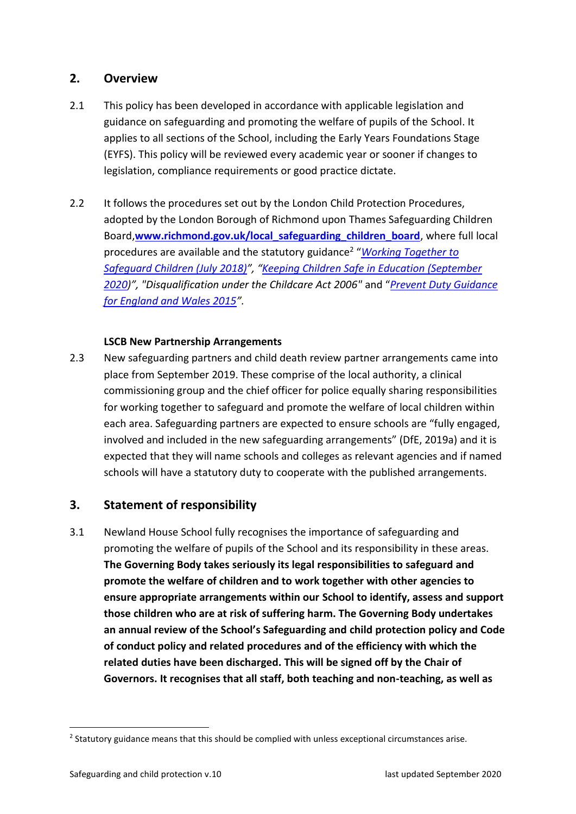# <span id="page-3-0"></span>**2. Overview**

- 2.1 This policy has been developed in accordance with applicable legislation and guidance on safeguarding and promoting the welfare of pupils of the School. It applies to all sections of the School, including the Early Years Foundations Stage (EYFS). This policy will be reviewed every academic year or sooner if changes to legislation, compliance requirements or good practice dictate.
- 2.2 It follows the procedures set out by the London Child Protection Procedures, adopted by the London Borough of Richmond upon Thames Safeguarding Children Board,**[www.richmond.gov.uk/local\\_safeguarding\\_children\\_board](http://www.richmond.gov.uk/local_safeguarding_children_board)**, where full local procedures are available and the statutory guidance<sup>2</sup> "*[Working Together to](https://www.gov.uk/government/uploads/system/uploads/attachment_data/file/419595/Working_Together_to_Safeguard_Children.pdf)  [Safeguard Children \(July 2018](https://www.gov.uk/government/uploads/system/uploads/attachment_data/file/419595/Working_Together_to_Safeguard_Children.pdf))", "Keeping [Children Safe in Education \(September](https://www.gov.uk/government/uploads/system/uploads/attachment_data/file/550499/Keeping_children_safe_in_education_Part_1.pdf)  [202](https://www.gov.uk/government/uploads/system/uploads/attachment_data/file/550499/Keeping_children_safe_in_education_Part_1.pdf)0)", "Disqualification under the Childcare Act 2006"* and "*Prevent [Duty Guidance](https://www.gov.uk/government/uploads/system/uploads/attachment_data/file/445977/3799_Revised_Prevent_Duty_Guidance__England_Wales_V2-Interactive.pdf) [for England and Wales 2015](https://www.gov.uk/government/uploads/system/uploads/attachment_data/file/445977/3799_Revised_Prevent_Duty_Guidance__England_Wales_V2-Interactive.pdf)".*

#### **LSCB New Partnership Arrangements**

2.3 New safeguarding partners and child death review partner arrangements came into place from September 2019. These comprise of the local authority, a clinical commissioning group and the chief officer for police equally sharing responsibilities for working together to safeguard and promote the welfare of local children within each area. Safeguarding partners are expected to ensure schools are "fully engaged, involved and included in the new safeguarding arrangements" (DfE, 2019a) and it is expected that they will name schools and colleges as relevant agencies and if named schools will have a statutory duty to cooperate with the published arrangements.

# <span id="page-3-1"></span>**3. Statement of responsibility**

3.1 Newland House School fully recognises the importance of safeguarding and promoting the welfare of pupils of the School and its responsibility in these areas. **The Governing Body takes seriously its legal responsibilities to safeguard and promote the welfare of children and to work together with other agencies to ensure appropriate arrangements within our School to identify, assess and support those children who are at risk of suffering harm. The Governing Body undertakes an annual review of the School's Safeguarding and child protection policy and Code of conduct policy and related procedures and of the efficiency with which the related duties have been discharged. This will be signed off by the Chair of Governors. It recognises that all staff, both teaching and non-teaching, as well as** 

 $2$  Statutory guidance means that this should be complied with unless exceptional circumstances arise.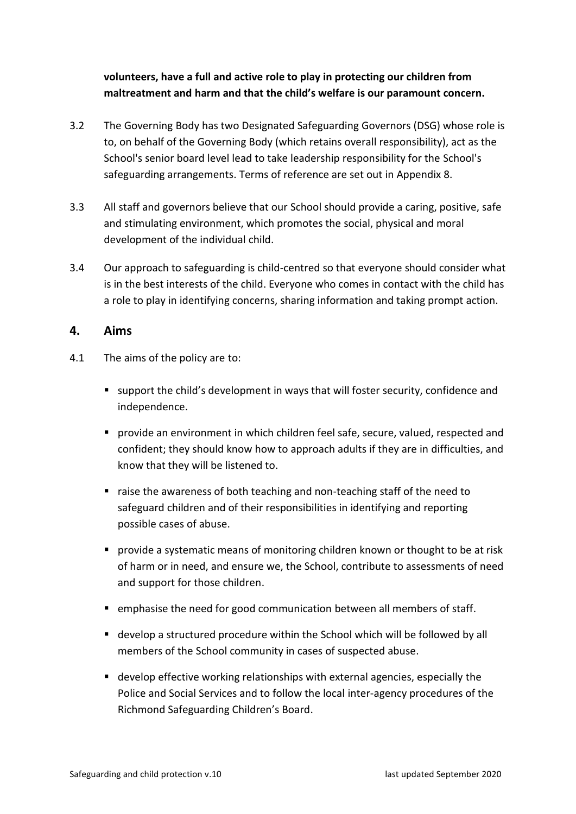# **volunteers, have a full and active role to play in protecting our children from maltreatment and harm and that the child's welfare is our paramount concern.**

- 3.2 The Governing Body has two Designated Safeguarding Governors (DSG) whose role is to, on behalf of the Governing Body (which retains overall responsibility), act as the School's senior board level lead to take leadership responsibility for the School's safeguarding arrangements. Terms of reference are set out in Appendix 8.
- 3.3 All staff and governors believe that our School should provide a caring, positive, safe and stimulating environment, which promotes the social, physical and moral development of the individual child.
- 3.4 Our approach to safeguarding is child-centred so that everyone should consider what is in the best interests of the child. Everyone who comes in contact with the child has a role to play in identifying concerns, sharing information and taking prompt action.

# <span id="page-4-0"></span>**4. Aims**

- 4.1 The aims of the policy are to:
	- support the child's development in ways that will foster security, confidence and independence.
	- provide an environment in which children feel safe, secure, valued, respected and confident; they should know how to approach adults if they are in difficulties, and know that they will be listened to.
	- raise the awareness of both teaching and non-teaching staff of the need to safeguard children and of their responsibilities in identifying and reporting possible cases of abuse.
	- provide a systematic means of monitoring children known or thought to be at risk of harm or in need, and ensure we, the School, contribute to assessments of need and support for those children.
	- emphasise the need for good communication between all members of staff.
	- develop a structured procedure within the School which will be followed by all members of the School community in cases of suspected abuse.
	- develop effective working relationships with external agencies, especially the Police and Social Services and to follow the local inter-agency procedures of the Richmond Safeguarding Children's Board.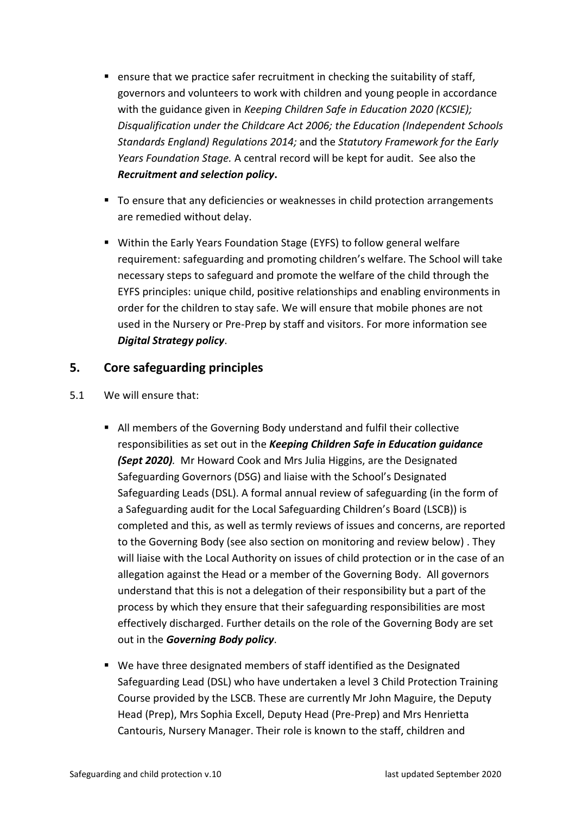- ensure that we practice safer recruitment in checking the suitability of staff, governors and volunteers to work with children and young people in accordance with the guidance given in *Keeping Children Safe in Education 2020 (KCSIE); Disqualification under the Childcare Act 2006; the Education (Independent Schools Standards England) Regulations 2014;* and the *Statutory Framework for the Early Years Foundation Stage.* A central record will be kept for audit. See also the *Recruitment and selection policy***.**
- To ensure that any deficiencies or weaknesses in child protection arrangements are remedied without delay.
- Within the Early Years Foundation Stage (EYFS) to follow general welfare requirement: safeguarding and promoting children's welfare. The School will take necessary steps to safeguard and promote the welfare of the child through the EYFS principles: unique child, positive relationships and enabling environments in order for the children to stay safe. We will ensure that mobile phones are not used in the Nursery or Pre-Prep by staff and visitors. For more information see *Digital Strategy policy*.

# <span id="page-5-0"></span>**5. Core safeguarding principles**

- 5.1 We will ensure that:
	- All members of the Governing Body understand and fulfil their collective responsibilities as set out in the *Keeping Children Safe in Education guidance (Sept 2020).* Mr Howard Cook and Mrs Julia Higgins, are the Designated Safeguarding Governors (DSG) and liaise with the School's Designated Safeguarding Leads (DSL). A formal annual review of safeguarding (in the form of a Safeguarding audit for the Local Safeguarding Children's Board (LSCB)) is completed and this, as well as termly reviews of issues and concerns, are reported to the Governing Body (see also section on monitoring and review below) . They will liaise with the Local Authority on issues of child protection or in the case of an allegation against the Head or a member of the Governing Body. All governors understand that this is not a delegation of their responsibility but a part of the process by which they ensure that their safeguarding responsibilities are most effectively discharged. Further details on the role of the Governing Body are set out in the *Governing Body policy*.
	- We have three designated members of staff identified as the Designated Safeguarding Lead (DSL) who have undertaken a level 3 Child Protection Training Course provided by the LSCB. These are currently Mr John Maguire, the Deputy Head (Prep), Mrs Sophia Excell, Deputy Head (Pre-Prep) and Mrs Henrietta Cantouris, Nursery Manager. Their role is known to the staff, children and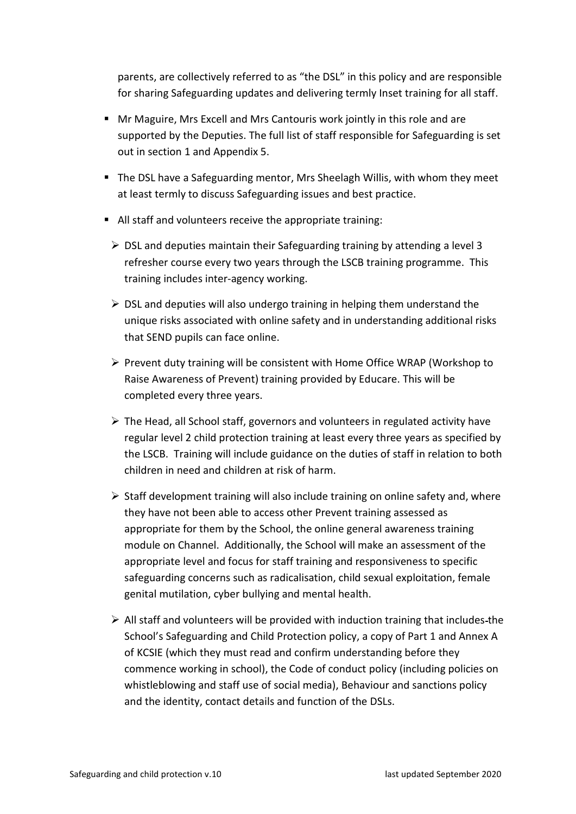parents, are collectively referred to as "the DSL" in this policy and are responsible for sharing Safeguarding updates and delivering termly Inset training for all staff.

- Mr Maguire, Mrs Excell and Mrs Cantouris work jointly in this role and are supported by the Deputies. The full list of staff responsible for Safeguarding is set out in section 1 and Appendix 5.
- The DSL have a Safeguarding mentor, Mrs Sheelagh Willis, with whom they meet at least termly to discuss Safeguarding issues and best practice.
- All staff and volunteers receive the appropriate training:
	- $\triangleright$  DSL and deputies maintain their Safeguarding training by attending a level 3 refresher course every two years through the LSCB training programme. This training includes inter-agency working.
	- ➢ DSL and deputies will also undergo training in helping them understand the unique risks associated with online safety and in understanding additional risks that SEND pupils can face online.
	- ➢ Prevent duty training will be consistent with Home Office WRAP (Workshop to Raise Awareness of Prevent) training provided by Educare. This will be completed every three years.
	- ➢ The Head, all School staff, governors and volunteers in regulated activity have regular level 2 child protection training at least every three years as specified by the LSCB. Training will include guidance on the duties of staff in relation to both children in need and children at risk of harm.
	- $\triangleright$  Staff development training will also include training on online safety and, where they have not been able to access other Prevent training assessed as appropriate for them by the School, the online general awareness training module on Channel. Additionally, the School will make an assessment of the appropriate level and focus for staff training and responsiveness to specific safeguarding concerns such as radicalisation, child sexual exploitation, female genital mutilation, cyber bullying and mental health.
	- $\triangleright$  All staff and volunteers will be provided with induction training that includes-the School's Safeguarding and Child Protection policy, a copy of Part 1 and Annex A of KCSIE (which they must read and confirm understanding before they commence working in school), the Code of conduct policy (including policies on whistleblowing and staff use of social media), Behaviour and sanctions policy and the identity, contact details and function of the DSLs.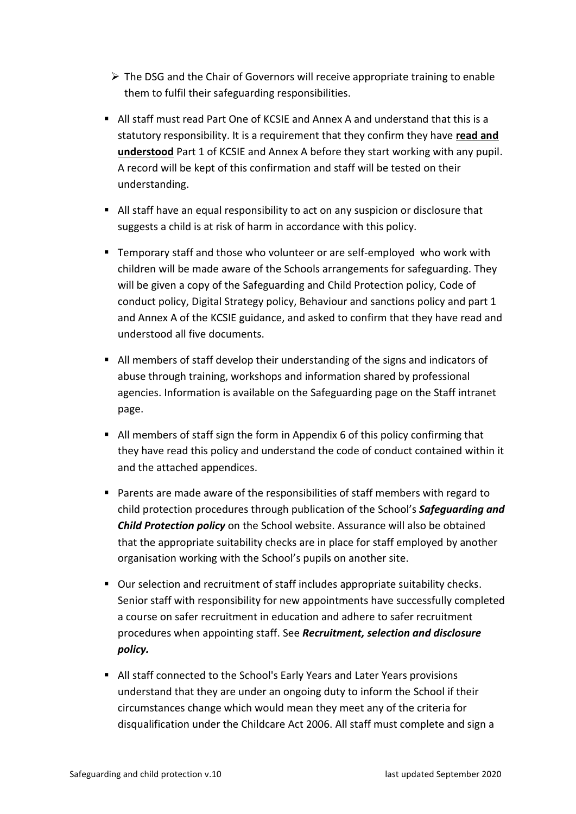- $\triangleright$  The DSG and the Chair of Governors will receive appropriate training to enable them to fulfil their safeguarding responsibilities.
- All staff must read Part One of KCSIE and Annex A and understand that this is a statutory responsibility. It is a requirement that they confirm they have **read and understood** Part 1 of KCSIE and Annex A before they start working with any pupil. A record will be kept of this confirmation and staff will be tested on their understanding.
- All staff have an equal responsibility to act on any suspicion or disclosure that suggests a child is at risk of harm in accordance with this policy.
- Temporary staff and those who volunteer or are self-employed who work with children will be made aware of the Schools arrangements for safeguarding. They will be given a copy of the Safeguarding and Child Protection policy, Code of conduct policy, Digital Strategy policy, Behaviour and sanctions policy and part 1 and Annex A of the KCSIE guidance, and asked to confirm that they have read and understood all five documents.
- All members of staff develop their understanding of the signs and indicators of abuse through training, workshops and information shared by professional agencies. Information is available on the Safeguarding page on the Staff intranet page.
- All members of staff sign the form in Appendix 6 of this policy confirming that they have read this policy and understand the code of conduct contained within it and the attached appendices.
- Parents are made aware of the responsibilities of staff members with regard to child protection procedures through publication of the School's *Safeguarding and Child Protection policy* on the School website. Assurance will also be obtained that the appropriate suitability checks are in place for staff employed by another organisation working with the School's pupils on another site.
- Our selection and recruitment of staff includes appropriate suitability checks. Senior staff with responsibility for new appointments have successfully completed a course on safer recruitment in education and adhere to safer recruitment procedures when appointing staff. See *Recruitment, selection and disclosure policy.*
- All staff connected to the School's Early Years and Later Years provisions understand that they are under an ongoing duty to inform the School if their circumstances change which would mean they meet any of the criteria for disqualification under the Childcare Act 2006. All staff must complete and sign a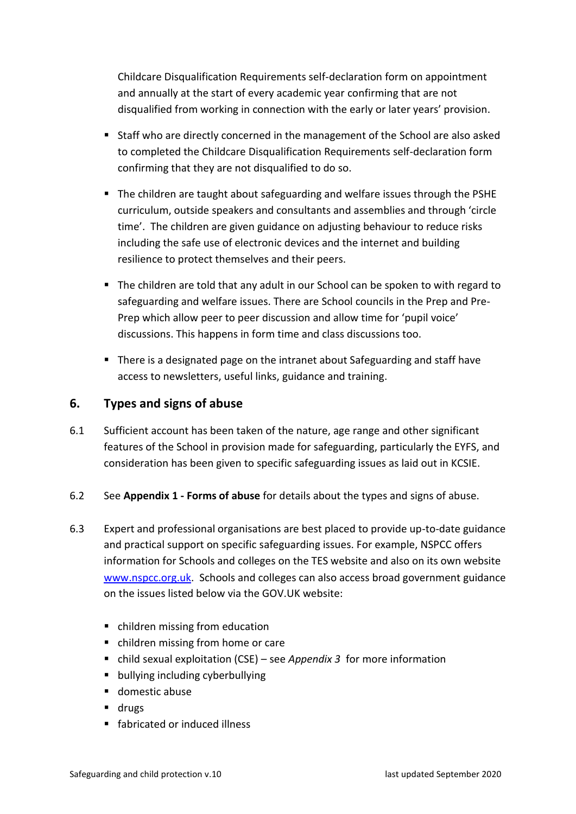Childcare Disqualification Requirements self-declaration form on appointment and annually at the start of every academic year confirming that are not disqualified from working in connection with the early or later years' provision.

- Staff who are directly concerned in the management of the School are also asked to completed the Childcare Disqualification Requirements self-declaration form confirming that they are not disqualified to do so.
- The children are taught about safeguarding and welfare issues through the PSHE curriculum, outside speakers and consultants and assemblies and through 'circle time'. The children are given guidance on adjusting behaviour to reduce risks including the safe use of electronic devices and the internet and building resilience to protect themselves and their peers.
- The children are told that any adult in our School can be spoken to with regard to safeguarding and welfare issues. There are School councils in the Prep and Pre-Prep which allow peer to peer discussion and allow time for 'pupil voice' discussions. This happens in form time and class discussions too.
- There is a designated page on the intranet about Safeguarding and staff have access to newsletters, useful links, guidance and training.

# <span id="page-8-0"></span>**6. Types and signs of abuse**

- 6.1 Sufficient account has been taken of the nature, age range and other significant features of the School in provision made for safeguarding, particularly the EYFS, and consideration has been given to specific safeguarding issues as laid out in KCSIE.
- 6.2 See **Appendix 1 - [Forms of abuse](#page-26-0)** for details about the types and signs of abuse.
- 6.3 Expert and professional organisations are best placed to provide up-to-date guidance and practical support on specific safeguarding issues. For example, NSPCC offers information for Schools and colleges on the TES website and also on its own website [www.nspcc.org.uk.](http://www.nspcc.org.uk/) Schools and colleges can also access broad government guidance on the issues listed below via the GOV.UK website:
	- children missing from education
	- children missing from home or care
	- child sexual exploitation (CSE) see *Appendix 3* for more information
	- bullying including cyberbullying
	- domestic abuse
	- drugs
	- fabricated or induced illness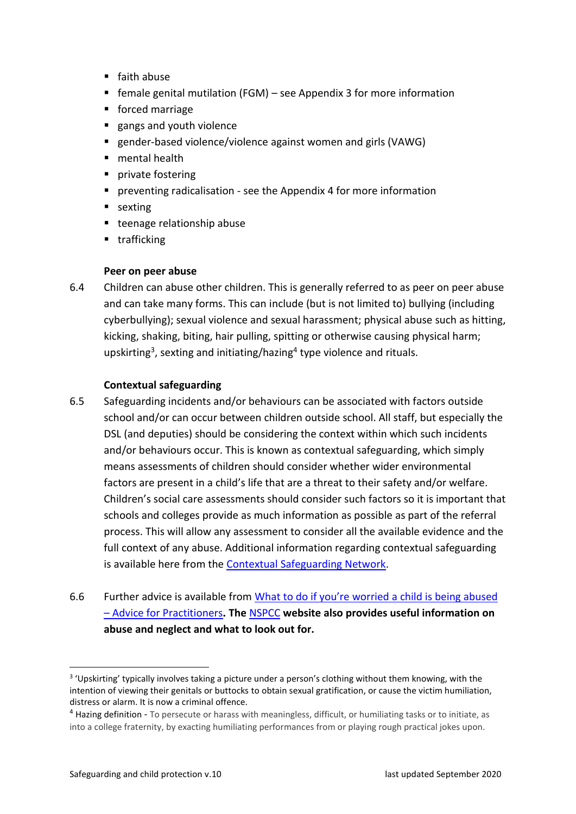- faith abuse
- $\blacksquare$  female genital mutilation (FGM) see Appendix 3 for more information
- forced marriage
- gangs and youth violence
- gender-based violence/violence against women and girls (VAWG)
- mental health
- private fostering
- **•** preventing radicalisation see the Appendix 4 for more information
- sexting
- teenage relationship abuse
- trafficking

#### **Peer on peer abuse**

6.4 Children can abuse other children. This is generally referred to as peer on peer abuse and can take many forms. This can include (but is not limited to) bullying (including cyberbullying); sexual violence and sexual harassment; physical abuse such as hitting, kicking, shaking, biting, hair pulling, spitting or otherwise causing physical harm; upskirting<sup>3</sup>, sexting and initiating/hazing<sup>4</sup> type violence and rituals.

#### **Contextual safeguarding**

- 6.5 Safeguarding incidents and/or behaviours can be associated with factors outside school and/or can occur between children outside school. All staff, but especially the DSL (and deputies) should be considering the context within which such incidents and/or behaviours occur. This is known as contextual safeguarding, which simply means assessments of children should consider whether wider environmental factors are present in a child's life that are a threat to their safety and/or welfare. Children's social care assessments should consider such factors so it is important that schools and colleges provide as much information as possible as part of the referral process. This will allow any assessment to consider all the available evidence and the full context of any abuse. Additional information regarding contextual safeguarding is available here from the [Contextual Safeguarding Network.](https://contextualsafeguarding.org.uk/about/what-is-contextual-safeguarding)
- 6.6 Further advice is available from [What to do if you're worried a child is being abused](https://www.gov.uk/government/publications/what-to-do-if-youre-worried-a-child-is-being-abused--2)  – [Advice for Practitioners](https://www.gov.uk/government/publications/what-to-do-if-youre-worried-a-child-is-being-abused--2)**. The** [NSPCC](https://www.nspcc.org.uk/what-is-child-abuse/types-of-abuse/) **website also provides useful information on abuse and neglect and what to look out for.**

<sup>&</sup>lt;sup>3</sup> 'Upskirting' typically involves taking a picture under a person's clothing without them knowing, with the intention of viewing their genitals or buttocks to obtain sexual gratification, or cause the victim humiliation, distress or alarm. It is now a criminal offence.

<sup>4</sup> Hazing definition - To persecute or harass with meaningless, difficult, or humiliating tasks or to initiate, as into a college fraternity, by exacting humiliating performances from or playing rough practical jokes upon.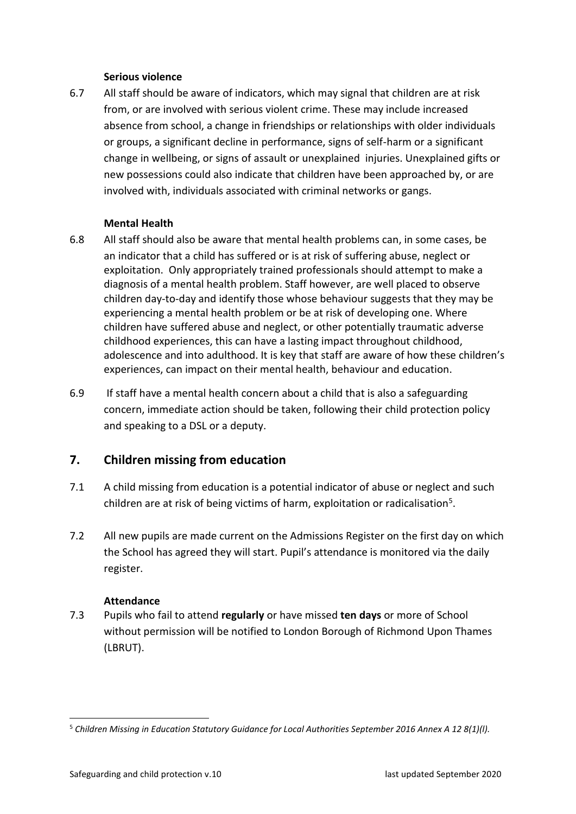#### **Serious violence**

6.7 All staff should be aware of indicators, which may signal that children are at risk from, or are involved with serious violent crime. These may include increased absence from school, a change in friendships or relationships with older individuals or groups, a significant decline in performance, signs of self-harm or a significant change in wellbeing, or signs of assault or unexplained injuries. Unexplained gifts or new possessions could also indicate that children have been approached by, or are involved with, individuals associated with criminal networks or gangs.

#### **Mental Health**

- <span id="page-10-0"></span>6.8 All staff should also be aware that mental health problems can, in some cases, be an indicator that a child has suffered or is at risk of suffering abuse, neglect or exploitation. Only appropriately trained professionals should attempt to make a diagnosis of a mental health problem. Staff however, are well placed to observe children day-to-day and identify those whose behaviour suggests that they may be experiencing a mental health problem or be at risk of developing one. Where children have suffered abuse and neglect, or other potentially traumatic adverse childhood experiences, this can have a lasting impact throughout childhood, adolescence and into adulthood. It is key that staff are aware of how these children's experiences, can impact on their mental health, behaviour and education.
- 6.9 If staff have a mental health concern about a child that is also a safeguarding concern, immediate action should be taken, following their child protection policy and speaking to a DSL or a deputy.

# **7. Children missing from education**

- 7.1 A child missing from education is a potential indicator of abuse or neglect and such children are at risk of being victims of harm, exploitation or radicalisation<sup>5</sup>.
- 7.2 All new pupils are made current on the Admissions Register on the first day on which the School has agreed they will start. Pupil's attendance is monitored via the daily register.

#### <span id="page-10-1"></span>**Attendance**

7.3 Pupils who fail to attend **regularly** or have missed **ten days** or more of School without permission will be notified to London Borough of Richmond Upon Thames (LBRUT).

<sup>5</sup> *Children Missing in Education Statutory Guidance for Local Authorities September 2016 Annex A 12 8(1)(l).*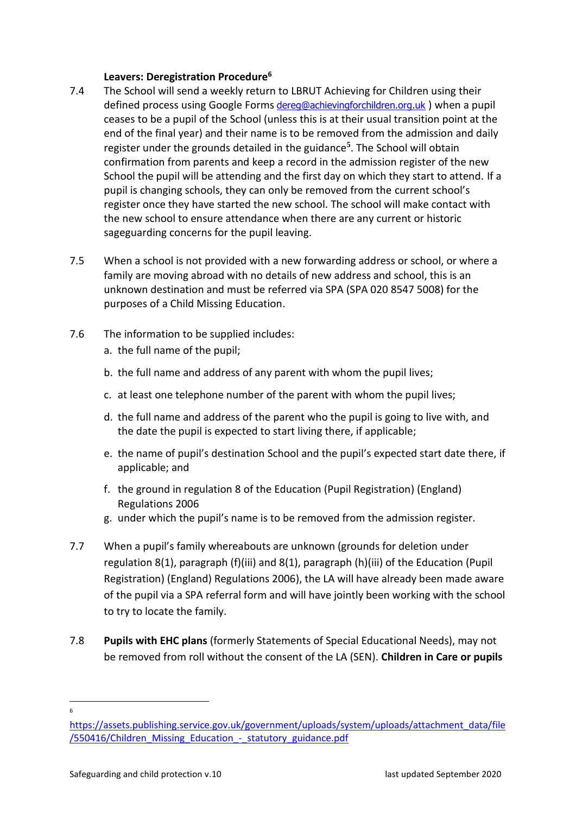#### **Leavers: Deregistration Procedure<sup>6</sup>**

- 7.4 The School will send a weekly return to LBRUT Achieving for Children using their defined process using Google Forms [dereg@achievingforchildren.org.uk](mailto:dereg@achievingforchildren.org.uk) ) when a pupil ceases to be a pupil of the School (unless this is at their usual transition point at the end of the final year) and their name is to be removed from the admission and daily register under the grounds detailed in the guidance**[5](#page-10-1)** . The School will obtain confirmation from parents and keep a record in the admission register of the new School the pupil will be attending and the first day on which they start to attend. If a pupil is changing schools, they can only be removed from the current school's register once they have started the new school. The school will make contact with the new school to ensure attendance when there are any current or historic sageguarding concerns for the pupil leaving.
- 7.5 When a school is not provided with a new forwarding address or school, or where a family are moving abroad with no details of new address and school, this is an unknown destination and must be referred via SPA (SPA 020 8547 5008) for the purposes of a Child Missing Education.
- 7.6 The information to be supplied includes:
	- a. the full name of the pupil;
	- b. the full name and address of any parent with whom the pupil lives;
	- c. at least one telephone number of the parent with whom the pupil lives;
	- d. the full name and address of the parent who the pupil is going to live with, and the date the pupil is expected to start living there, if applicable;
	- e. the name of pupil's destination School and the pupil's expected start date there, if applicable; and
	- f. the ground in regulation 8 of the Education (Pupil Registration) (England) Regulations 2006
	- g. under which the pupil's name is to be removed from the admission register.
- 7.7 When a pupil's family whereabouts are unknown (grounds for deletion under regulation 8(1), paragraph (f)(iii) and 8(1), paragraph (h)(iii) of the Education (Pupil Registration) (England) Regulations 2006), the LA will have already been made aware of the pupil via a SPA referral form and will have jointly been working with the school to try to locate the family.
- 7.8 **Pupils with EHC plans** (formerly Statements of Special Educational Needs), may not be removed from roll without the consent of the LA (SEN). **Children in Care or pupils**

<sup>6</sup>

[https://assets.publishing.service.gov.uk/government/uploads/system/uploads/attachment\\_data/file](https://assets.publishing.service.gov.uk/government/uploads/system/uploads/attachment_data/file/550416/Children_Missing_Education_-_statutory_guidance.pdf) [/550416/Children\\_Missing\\_Education\\_-\\_statutory\\_guidance.pdf](https://assets.publishing.service.gov.uk/government/uploads/system/uploads/attachment_data/file/550416/Children_Missing_Education_-_statutory_guidance.pdf)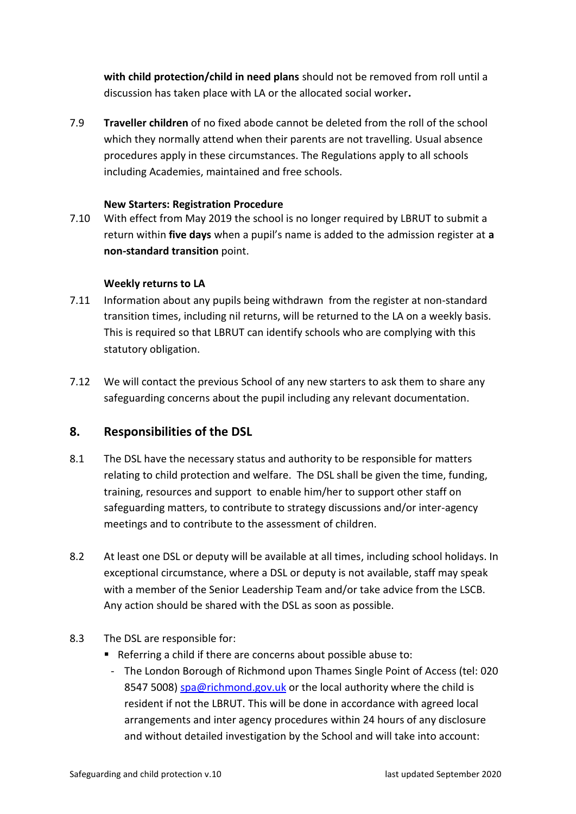**with child protection/child in need plans** should not be removed from roll until a discussion has taken place with LA or the allocated social worker**.** 

7.9 **Traveller children** of no fixed abode cannot be deleted from the roll of the school which they normally attend when their parents are not travelling. Usual absence procedures apply in these circumstances. The Regulations apply to all schools including Academies, maintained and free schools.

#### **New Starters: Registration Procedure**

7.10 With effect from May 2019 the school is no longer required by LBRUT to submit a return within **five days** when a pupil's name is added to the admission register at **a non-standard transition** point.

#### **Weekly returns to LA**

- 7.11 Information about any pupils being withdrawn from the register at non-standard transition times, including nil returns, will be returned to the LA on a weekly basis. This is required so that LBRUT can identify schools who are complying with this statutory obligation.
- 7.12 We will contact the previous School of any new starters to ask them to share any safeguarding concerns about the pupil including any relevant documentation.

# <span id="page-12-0"></span>**8. Responsibilities of the DSL**

- 8.1 The DSL have the necessary status and authority to be responsible for matters relating to child protection and welfare. The DSL shall be given the time, funding, training, resources and support to enable him/her to support other staff on safeguarding matters, to contribute to strategy discussions and/or inter-agency meetings and to contribute to the assessment of children.
- 8.2 At least one DSL or deputy will be available at all times, including school holidays. In exceptional circumstance, where a DSL or deputy is not available, staff may speak with a member of the Senior Leadership Team and/or take advice from the LSCB. Any action should be shared with the DSL as soon as possible.
- 8.3 The DSL are responsible for:
	- Referring a child if there are concerns about possible abuse to:
	- The London Borough of Richmond upon Thames Single Point of Access (tel: 020 8547 5008) [spa@richmond.gov.uk](mailto:spa@richmond.gov.uk) or the local authority where the child is resident if not the LBRUT. This will be done in accordance with agreed local arrangements and inter agency procedures within 24 hours of any disclosure and without detailed investigation by the School and will take into account: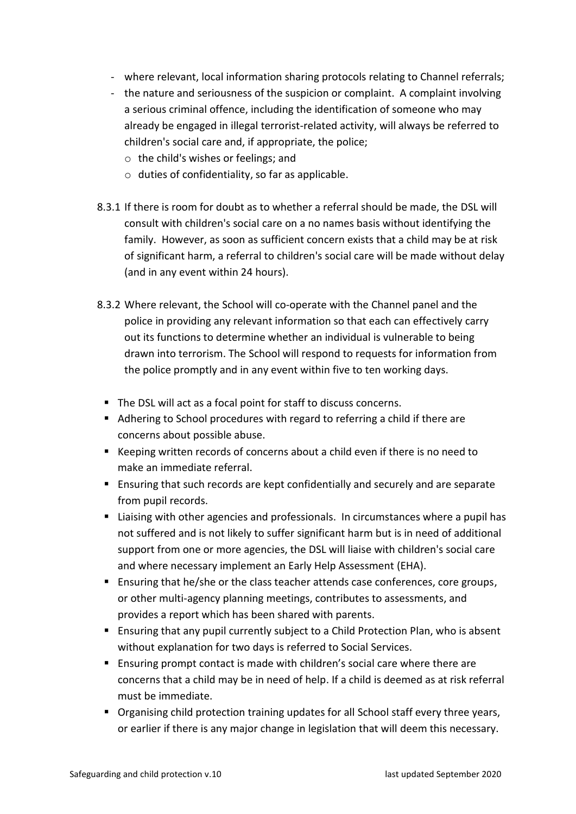- where relevant, local information sharing protocols relating to Channel referrals;
- the nature and seriousness of the suspicion or complaint. A complaint involving a serious criminal offence, including the identification of someone who may already be engaged in illegal terrorist-related activity, will always be referred to children's social care and, if appropriate, the police;
	- o the child's wishes or feelings; and
	- o duties of confidentiality, so far as applicable.
- 8.3.1 If there is room for doubt as to whether a referral should be made, the DSL will consult with children's social care on a no names basis without identifying the family. However, as soon as sufficient concern exists that a child may be at risk of significant harm, a referral to children's social care will be made without delay (and in any event within 24 hours).
- 8.3.2 Where relevant, the School will co-operate with the Channel panel and the police in providing any relevant information so that each can effectively carry out its functions to determine whether an individual is vulnerable to being drawn into terrorism. The School will respond to requests for information from the police promptly and in any event within five to ten working days.
	- The DSL will act as a focal point for staff to discuss concerns.
	- Adhering to School procedures with regard to referring a child if there are concerns about possible abuse.
	- Keeping written records of concerns about a child even if there is no need to make an immediate referral.
	- Ensuring that such records are kept confidentially and securely and are separate from pupil records.
	- Liaising with other agencies and professionals. In circumstances where a pupil has not suffered and is not likely to suffer significant harm but is in need of additional support from one or more agencies, the DSL will liaise with children's social care and where necessary implement an Early Help Assessment (EHA).
	- Ensuring that he/she or the class teacher attends case conferences, core groups, or other multi-agency planning meetings, contributes to assessments, and provides a report which has been shared with parents.
	- Ensuring that any pupil currently subject to a Child Protection Plan, who is absent without explanation for two days is referred to Social Services.
	- Ensuring prompt contact is made with children's social care where there are concerns that a child may be in need of help. If a child is deemed as at risk referral must be immediate.
	- Organising child protection training updates for all School staff every three years, or earlier if there is any major change in legislation that will deem this necessary.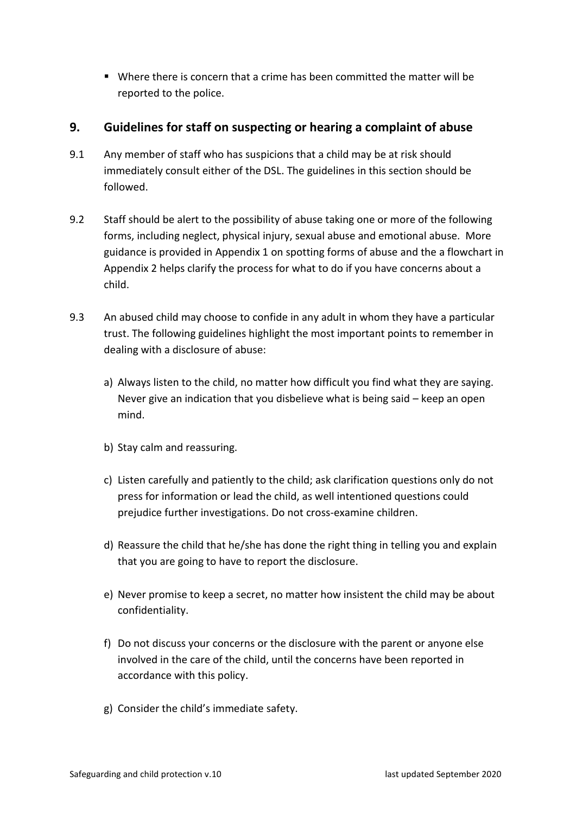■ Where there is concern that a crime has been committed the matter will be reported to the police.

# <span id="page-14-0"></span>**9. Guidelines for staff on suspecting or hearing a complaint of abuse**

- 9.1 Any member of staff who has suspicions that a child may be at risk should immediately consult either of the DSL. The guidelines in this section should be followed.
- 9.2 Staff should be alert to the possibility of abuse taking one or more of the following forms, including neglect, physical injury, sexual abuse and emotional abuse. More guidance is provided in Appendix 1 on spotting forms of abuse and the a flowchart in Appendix 2 helps clarify the process for what to do if you have concerns about a child.
- 9.3 An abused child may choose to confide in any adult in whom they have a particular trust. The following guidelines highlight the most important points to remember in dealing with a disclosure of abuse:
	- a) Always listen to the child, no matter how difficult you find what they are saying. Never give an indication that you disbelieve what is being said – keep an open mind.
	- b) Stay calm and reassuring.
	- c) Listen carefully and patiently to the child; ask clarification questions only do not press for information or lead the child, as well intentioned questions could prejudice further investigations. Do not cross-examine children.
	- d) Reassure the child that he/she has done the right thing in telling you and explain that you are going to have to report the disclosure.
	- e) Never promise to keep a secret, no matter how insistent the child may be about confidentiality.
	- f) Do not discuss your concerns or the disclosure with the parent or anyone else involved in the care of the child, until the concerns have been reported in accordance with this policy.
	- g) Consider the child's immediate safety.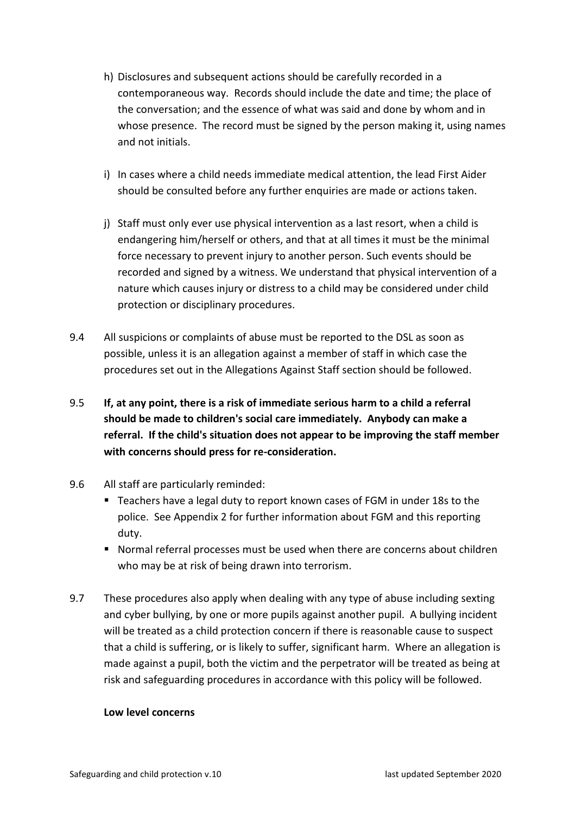- h) Disclosures and subsequent actions should be carefully recorded in a contemporaneous way. Records should include the date and time; the place of the conversation; and the essence of what was said and done by whom and in whose presence. The record must be signed by the person making it, using names and not initials.
- i) In cases where a child needs immediate medical attention, the lead First Aider should be consulted before any further enquiries are made or actions taken.
- j) Staff must only ever use physical intervention as a last resort, when a child is endangering him/herself or others, and that at all times it must be the minimal force necessary to prevent injury to another person. Such events should be recorded and signed by a witness. We understand that physical intervention of a nature which causes injury or distress to a child may be considered under child protection or disciplinary procedures.
- 9.4 All suspicions or complaints of abuse must be reported to the DSL as soon as possible, unless it is an allegation against a member of staff in which case the procedures set out in the Allegations Against Staff section should be followed.
- 9.5 **If, at any point, there is a risk of immediate serious harm to a child a referral should be made to children's social care immediately. Anybody can make a referral. If the child's situation does not appear to be improving the staff member with concerns should press for re-consideration.**
- 9.6 All staff are particularly reminded:
	- Teachers have a legal duty to report known cases of FGM in under 18s to the police. See Appendix 2 for further information about FGM and this reporting duty.
	- Normal referral processes must be used when there are concerns about children who may be at risk of being drawn into terrorism.
- 9.7 These procedures also apply when dealing with any type of abuse including sexting and cyber bullying, by one or more pupils against another pupil. A bullying incident will be treated as a child protection concern if there is reasonable cause to suspect that a child is suffering, or is likely to suffer, significant harm. Where an allegation is made against a pupil, both the victim and the perpetrator will be treated as being at risk and safeguarding procedures in accordance with this policy will be followed.

#### **Low level concerns**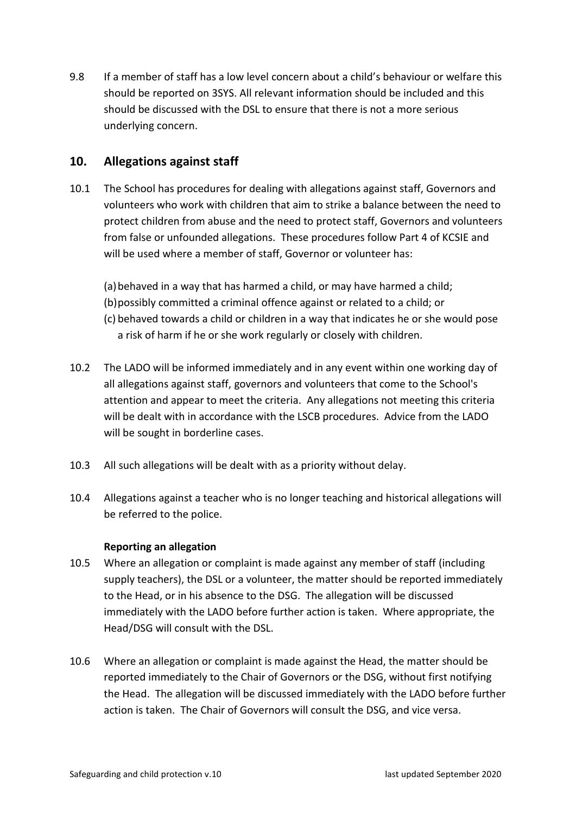9.8 If a member of staff has a low level concern about a child's behaviour or welfare this should be reported on 3SYS. All relevant information should be included and this should be discussed with the DSL to ensure that there is not a more serious underlying concern.

# <span id="page-16-0"></span>**10. Allegations against staff**

10.1 The School has procedures for dealing with allegations against staff, Governors and volunteers who work with children that aim to strike a balance between the need to protect children from abuse and the need to protect staff, Governors and volunteers from false or unfounded allegations. These procedures follow Part 4 of KCSIE and will be used where a member of staff, Governor or volunteer has:

(a)behaved in a way that has harmed a child, or may have harmed a child;

- (b)possibly committed a criminal offence against or related to a child; or
- (c) behaved towards a child or children in a way that indicates he or she would pose a risk of harm if he or she work regularly or closely with children.
- 10.2 The LADO will be informed immediately and in any event within one working day of all allegations against staff, governors and volunteers that come to the School's attention and appear to meet the criteria. Any allegations not meeting this criteria will be dealt with in accordance with the LSCB procedures. Advice from the LADO will be sought in borderline cases.
- 10.3 All such allegations will be dealt with as a priority without delay.
- 10.4 Allegations against a teacher who is no longer teaching and historical allegations will be referred to the police.

#### **Reporting an allegation**

- 10.5 Where an allegation or complaint is made against any member of staff (including supply teachers), the DSL or a volunteer, the matter should be reported immediately to the Head, or in his absence to the DSG. The allegation will be discussed immediately with the LADO before further action is taken. Where appropriate, the Head/DSG will consult with the DSL.
- 10.6 Where an allegation or complaint is made against the Head, the matter should be reported immediately to the Chair of Governors or the DSG, without first notifying the Head. The allegation will be discussed immediately with the LADO before further action is taken. The Chair of Governors will consult the DSG, and vice versa.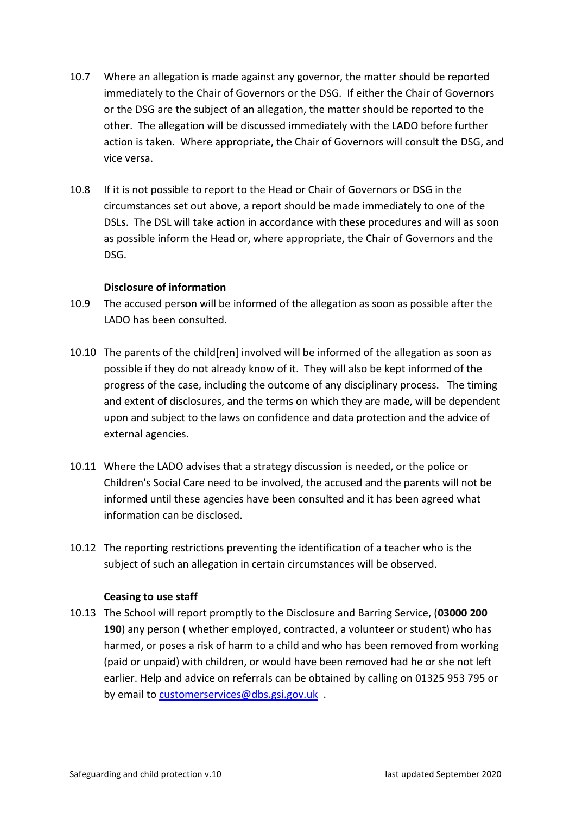- 10.7 Where an allegation is made against any governor, the matter should be reported immediately to the Chair of Governors or the DSG. If either the Chair of Governors or the DSG are the subject of an allegation, the matter should be reported to the other. The allegation will be discussed immediately with the LADO before further action is taken. Where appropriate, the Chair of Governors will consult the DSG, and vice versa.
- 10.8 If it is not possible to report to the Head or Chair of Governors or DSG in the circumstances set out above, a report should be made immediately to one of the DSLs. The DSL will take action in accordance with these procedures and will as soon as possible inform the Head or, where appropriate, the Chair of Governors and the DSG.

#### **Disclosure of information**

- 10.9 The accused person will be informed of the allegation as soon as possible after the LADO has been consulted.
- 10.10 The parents of the child[ren] involved will be informed of the allegation as soon as possible if they do not already know of it. They will also be kept informed of the progress of the case, including the outcome of any disciplinary process. The timing and extent of disclosures, and the terms on which they are made, will be dependent upon and subject to the laws on confidence and data protection and the advice of external agencies.
- 10.11 Where the LADO advises that a strategy discussion is needed, or the police or Children's Social Care need to be involved, the accused and the parents will not be informed until these agencies have been consulted and it has been agreed what information can be disclosed.
- 10.12 The reporting restrictions preventing the identification of a teacher who is the subject of such an allegation in certain circumstances will be observed.

#### **Ceasing to use staff**

10.13 The School will report promptly to the Disclosure and Barring Service, (**03000 200 190**) any person ( whether employed, contracted, a volunteer or student) who has harmed, or poses a risk of harm to a child and who has been removed from working (paid or unpaid) with children, or would have been removed had he or she not left earlier. Help and advice on referrals can be obtained by calling on 01325 953 795 or by email to [customerservices@dbs.gsi.gov.uk](mailto:customerservices@dbs.gsi.gov.uk) .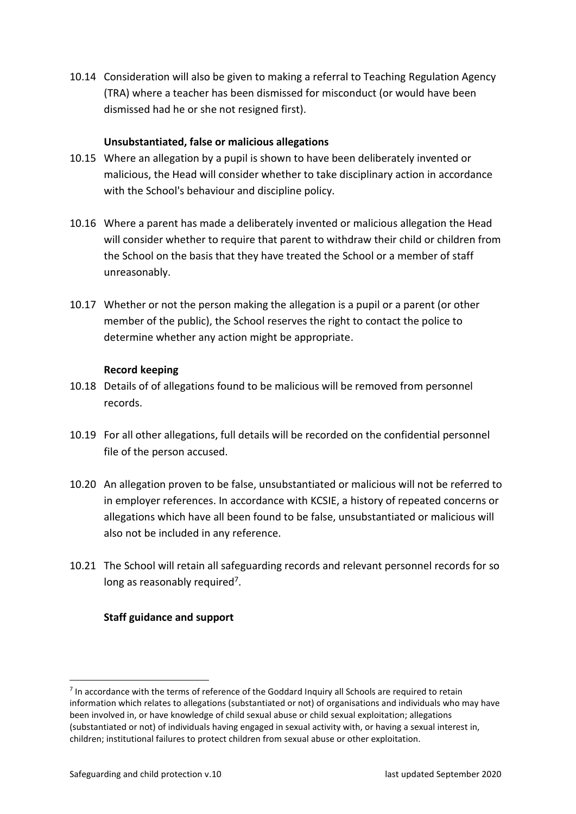10.14 Consideration will also be given to making a referral to Teaching Regulation Agency (TRA) where a teacher has been dismissed for misconduct (or would have been dismissed had he or she not resigned first).

#### **Unsubstantiated, false or malicious allegations**

- 10.15 Where an allegation by a pupil is shown to have been deliberately invented or malicious, the Head will consider whether to take disciplinary action in accordance with the School's behaviour and discipline policy.
- 10.16 Where a parent has made a deliberately invented or malicious allegation the Head will consider whether to require that parent to withdraw their child or children from the School on the basis that they have treated the School or a member of staff unreasonably.
- 10.17 Whether or not the person making the allegation is a pupil or a parent (or other member of the public), the School reserves the right to contact the police to determine whether any action might be appropriate.

#### **Record keeping**

- 10.18 Details of of allegations found to be malicious will be removed from personnel records.
- 10.19 For all other allegations, full details will be recorded on the confidential personnel file of the person accused.
- 10.20 An allegation proven to be false, unsubstantiated or malicious will not be referred to in employer references. In accordance with KCSIE, a history of repeated concerns or allegations which have all been found to be false, unsubstantiated or malicious will also not be included in any reference.
- 10.21 The School will retain all safeguarding records and relevant personnel records for so long as reasonably required<sup>7</sup>.

# **Staff guidance and support**

 $<sup>7</sup>$  In accordance with the terms of reference of the Goddard Inquiry all Schools are required to retain</sup> information which relates to allegations (substantiated or not) of organisations and individuals who may have been involved in, or have knowledge of child sexual abuse or child sexual exploitation; allegations (substantiated or not) of individuals having engaged in sexual activity with, or having a sexual interest in, children; institutional failures to protect children from sexual abuse or other exploitation.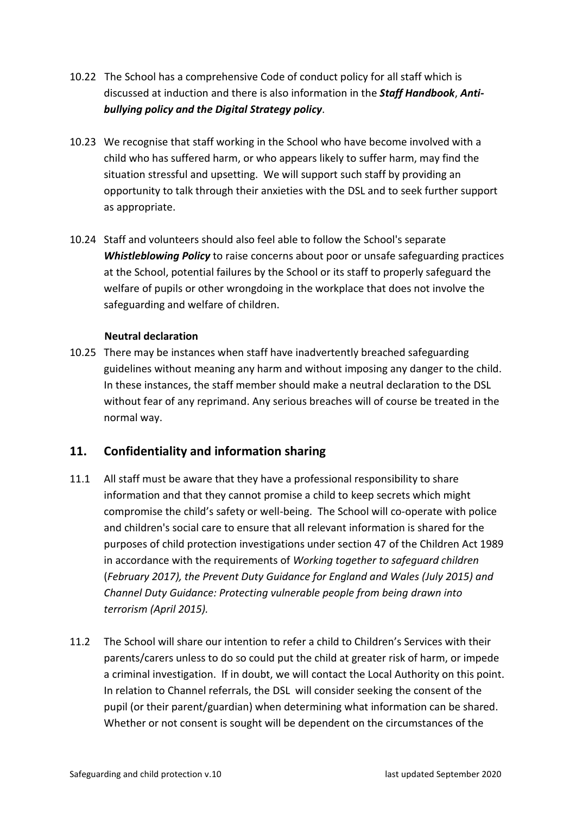- 10.22 The School has a comprehensive Code of conduct policy for all staff which is discussed at induction and there is also information in the *Staff Handbook*, *Antibullying policy and the Digital Strategy policy*.
- 10.23 We recognise that staff working in the School who have become involved with a child who has suffered harm, or who appears likely to suffer harm, may find the situation stressful and upsetting. We will support such staff by providing an opportunity to talk through their anxieties with the DSL and to seek further support as appropriate.
- 10.24 Staff and volunteers should also feel able to follow the School's separate *Whistleblowing Policy* to raise concerns about poor or unsafe safeguarding practices at the School, potential failures by the School or its staff to properly safeguard the welfare of pupils or other wrongdoing in the workplace that does not involve the safeguarding and welfare of children.

# **Neutral declaration**

10.25 There may be instances when staff have inadvertently breached safeguarding guidelines without meaning any harm and without imposing any danger to the child. In these instances, the staff member should make a neutral declaration to the DSL without fear of any reprimand. Any serious breaches will of course be treated in the normal way.

# <span id="page-19-0"></span>**11. Confidentiality and information sharing**

- 11.1 All staff must be aware that they have a professional responsibility to share information and that they cannot promise a child to keep secrets which might compromise the child's safety or well-being. The School will co-operate with police and children's social care to ensure that all relevant information is shared for the purposes of child protection investigations under section 47 of the Children Act 1989 in accordance with the requirements of *Working together to safeguard children* (*February 2017), the Prevent Duty Guidance for England and Wales (July 2015) and Channel Duty Guidance: Protecting vulnerable people from being drawn into terrorism (April 2015).*
- 11.2 The School will share our intention to refer a child to Children's Services with their parents/carers unless to do so could put the child at greater risk of harm, or impede a criminal investigation. If in doubt, we will contact the Local Authority on this point. In relation to Channel referrals, the DSL will consider seeking the consent of the pupil (or their parent/guardian) when determining what information can be shared. Whether or not consent is sought will be dependent on the circumstances of the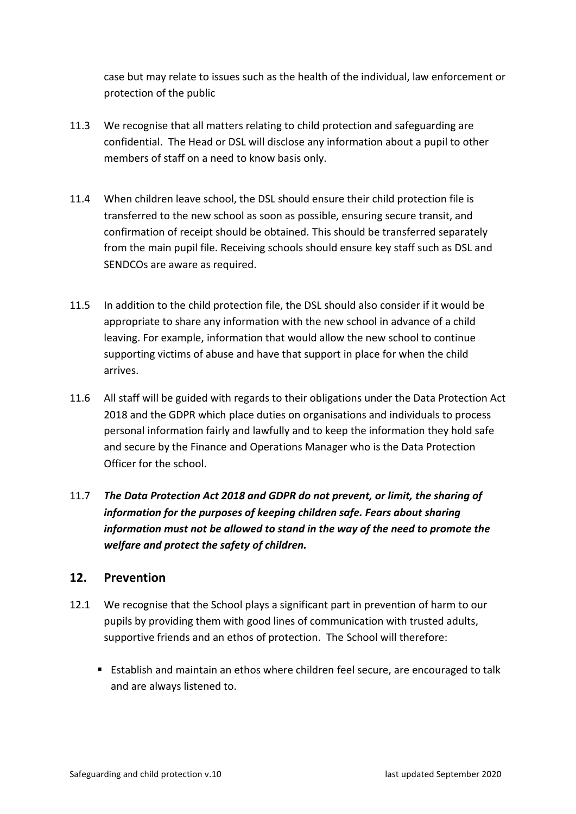case but may relate to issues such as the health of the individual, law enforcement or protection of the public

- 11.3 We recognise that all matters relating to child protection and safeguarding are confidential. The Head or DSL will disclose any information about a pupil to other members of staff on a need to know basis only.
- 11.4 When children leave school, the DSL should ensure their child protection file is transferred to the new school as soon as possible, ensuring secure transit, and confirmation of receipt should be obtained. This should be transferred separately from the main pupil file. Receiving schools should ensure key staff such as DSL and SENDCOs are aware as required.
- 11.5 In addition to the child protection file, the DSL should also consider if it would be appropriate to share any information with the new school in advance of a child leaving. For example, information that would allow the new school to continue supporting victims of abuse and have that support in place for when the child arrives.
- 11.6 All staff will be guided with regards to their obligations under the Data Protection Act 2018 and the GDPR which place duties on organisations and individuals to process personal information fairly and lawfully and to keep the information they hold safe and secure by the Finance and Operations Manager who is the Data Protection Officer for the school.
- 11.7 *The Data Protection Act 2018 and GDPR do not prevent, or limit, the sharing of information for the purposes of keeping children safe. Fears about sharing information must not be allowed to stand in the way of the need to promote the welfare and protect the safety of children.*

# <span id="page-20-0"></span>**12. Prevention**

- 12.1 We recognise that the School plays a significant part in prevention of harm to our pupils by providing them with good lines of communication with trusted adults, supportive friends and an ethos of protection. The School will therefore:
	- Establish and maintain an ethos where children feel secure, are encouraged to talk and are always listened to.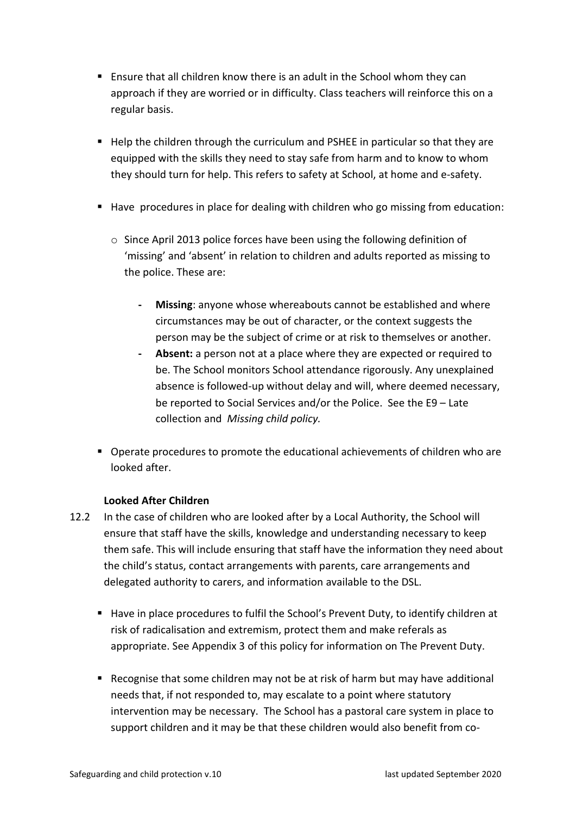- Ensure that all children know there is an adult in the School whom they can approach if they are worried or in difficulty. Class teachers will reinforce this on a regular basis.
- Help the children through the curriculum and PSHEE in particular so that they are equipped with the skills they need to stay safe from harm and to know to whom they should turn for help. This refers to safety at School, at home and e-safety.
- Have procedures in place for dealing with children who go missing from education:
	- o Since April 2013 police forces have been using the following definition of 'missing' and 'absent' in relation to children and adults reported as missing to the police. These are:
		- **- Missing**: anyone whose whereabouts cannot be established and where circumstances may be out of character, or the context suggests the person may be the subject of crime or at risk to themselves or another.
		- **- Absent:** a person not at a place where they are expected or required to be. The School monitors School attendance rigorously. Any unexplained absence is followed-up without delay and will, where deemed necessary, be reported to Social Services and/or the Police. See the E9 – Late collection and *Missing child policy.*
- Operate procedures to promote the educational achievements of children who are looked after.

# **Looked After Children**

- 12.2 In the case of children who are looked after by a Local Authority, the School will ensure that staff have the skills, knowledge and understanding necessary to keep them safe. This will include ensuring that staff have the information they need about the child's status, contact arrangements with parents, care arrangements and delegated authority to carers, and information available to the DSL.
	- Have in place procedures to fulfil the School's Prevent Duty, to identify children at risk of radicalisation and extremism, protect them and make referals as appropriate. See Appendix 3 of this policy for information on The Prevent Duty.
	- Recognise that some children may not be at risk of harm but may have additional needs that, if not responded to, may escalate to a point where statutory intervention may be necessary. The School has a pastoral care system in place to support children and it may be that these children would also benefit from co-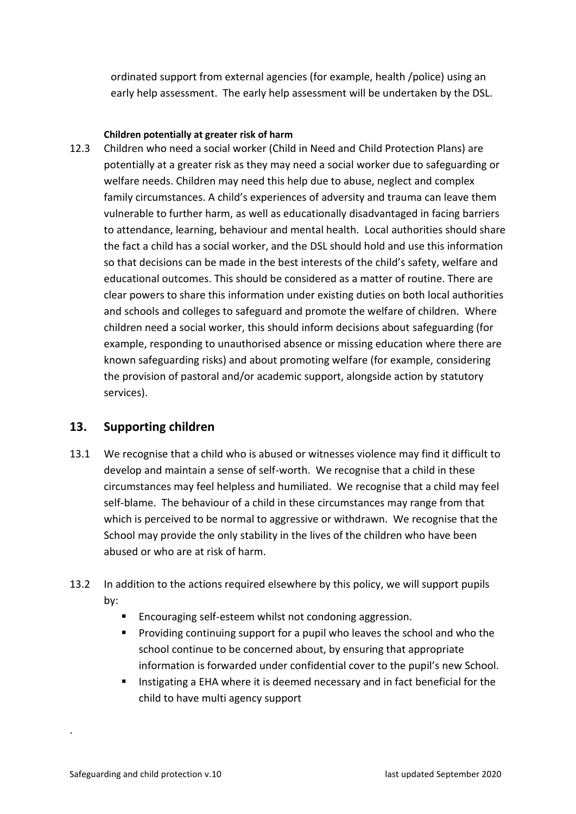ordinated support from external agencies (for example, health /police) using an early help assessment. The early help assessment will be undertaken by the DSL.

#### **Children potentially at greater risk of harm**

12.3 Children who need a social worker (Child in Need and Child Protection Plans) are potentially at a greater risk as they may need a social worker due to safeguarding or welfare needs. Children may need this help due to abuse, neglect and complex family circumstances. A child's experiences of adversity and trauma can leave them vulnerable to further harm, as well as educationally disadvantaged in facing barriers to attendance, learning, behaviour and mental health. Local authorities should share the fact a child has a social worker, and the DSL should hold and use this information so that decisions can be made in the best interests of the child's safety, welfare and educational outcomes. This should be considered as a matter of routine. There are clear powers to share this information under existing duties on both local authorities and schools and colleges to safeguard and promote the welfare of children. Where children need a social worker, this should inform decisions about safeguarding (for example, responding to unauthorised absence or missing education where there are known safeguarding risks) and about promoting welfare (for example, considering the provision of pastoral and/or academic support, alongside action by statutory services).

# <span id="page-22-0"></span>**13. Supporting children**

- 13.1 We recognise that a child who is abused or witnesses violence may find it difficult to develop and maintain a sense of self-worth. We recognise that a child in these circumstances may feel helpless and humiliated. We recognise that a child may feel self-blame. The behaviour of a child in these circumstances may range from that which is perceived to be normal to aggressive or withdrawn. We recognise that the School may provide the only stability in the lives of the children who have been abused or who are at risk of harm.
- 13.2 In addition to the actions required elsewhere by this policy, we will support pupils by:
	- Encouraging self-esteem whilst not condoning aggression.
	- Providing continuing support for a pupil who leaves the school and who the school continue to be concerned about, by ensuring that appropriate information is forwarded under confidential cover to the pupil's new School.
	- Instigating a EHA where it is deemed necessary and in fact beneficial for the child to have multi agency support

.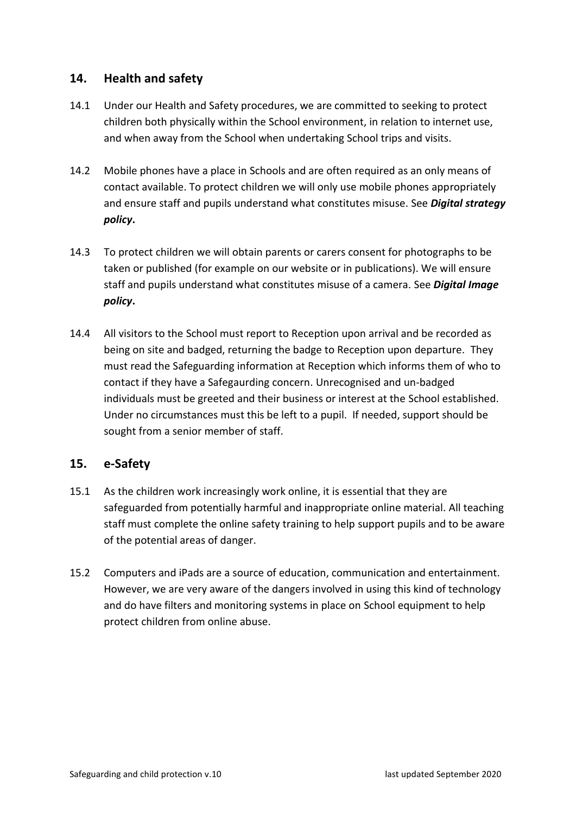# <span id="page-23-0"></span>**14. Health and safety**

- 14.1 Under our Health and Safety procedures, we are committed to seeking to protect children both physically within the School environment, in relation to internet use, and when away from the School when undertaking School trips and visits.
- 14.2 Mobile phones have a place in Schools and are often required as an only means of contact available. To protect children we will only use mobile phones appropriately and ensure staff and pupils understand what constitutes misuse. See *Digital strategy policy***.**
- 14.3 To protect children we will obtain parents or carers consent for photographs to be taken or published (for example on our website or in publications). We will ensure staff and pupils understand what constitutes misuse of a camera. See *Digital Image policy***.**
- 14.4 All visitors to the School must report to Reception upon arrival and be recorded as being on site and badged, returning the badge to Reception upon departure. They must read the Safeguarding information at Reception which informs them of who to contact if they have a Safegaurding concern. Unrecognised and un-badged individuals must be greeted and their business or interest at the School established. Under no circumstances must this be left to a pupil. If needed, support should be sought from a senior member of staff.

# <span id="page-23-1"></span>**15. e-Safety**

- 15.1 As the children work increasingly work online, it is essential that they are safeguarded from potentially harmful and inappropriate online material. All teaching staff must complete the online safety training to help support pupils and to be aware of the potential areas of danger.
- 15.2 Computers and iPads are a source of education, communication and entertainment. However, we are very aware of the dangers involved in using this kind of technology and do have filters and monitoring systems in place on School equipment to help protect children from online abuse.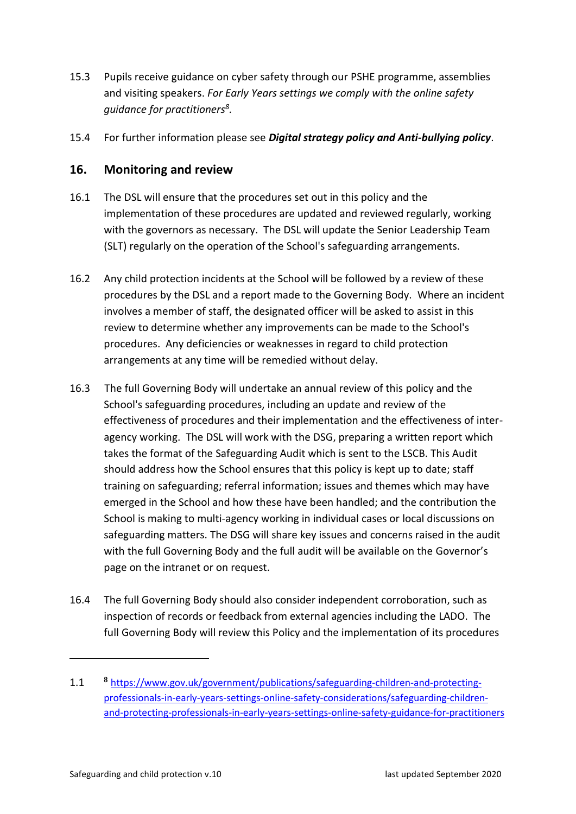- 15.3 Pupils receive guidance on cyber safety through our PSHE programme, assemblies and visiting speakers. *For Early Years settings we comply with the online safety guidance for practitioners<sup>8</sup> .*
- 15.4 For further information please see *Digital strategy policy and Anti-bullying policy*.

# <span id="page-24-0"></span>**16. Monitoring and review**

- 16.1 The DSL will ensure that the procedures set out in this policy and the implementation of these procedures are updated and reviewed regularly, working with the governors as necessary. The DSL will update the Senior Leadership Team (SLT) regularly on the operation of the School's safeguarding arrangements.
- 16.2 Any child protection incidents at the School will be followed by a review of these procedures by the DSL and a report made to the Governing Body. Where an incident involves a member of staff, the designated officer will be asked to assist in this review to determine whether any improvements can be made to the School's procedures. Any deficiencies or weaknesses in regard to child protection arrangements at any time will be remedied without delay.
- 16.3 The full Governing Body will undertake an annual review of this policy and the School's safeguarding procedures, including an update and review of the effectiveness of procedures and their implementation and the effectiveness of interagency working. The DSL will work with the DSG, preparing a written report which takes the format of the Safeguarding Audit which is sent to the LSCB. This Audit should address how the School ensures that this policy is kept up to date; staff training on safeguarding; referral information; issues and themes which may have emerged in the School and how these have been handled; and the contribution the School is making to multi-agency working in individual cases or local discussions on safeguarding matters. The DSG will share key issues and concerns raised in the audit with the full Governing Body and the full audit will be available on the Governor's page on the intranet or on request.
- 16.4 The full Governing Body should also consider independent corroboration, such as inspection of records or feedback from external agencies including the LADO. The full Governing Body will review this Policy and the implementation of its procedures

<sup>1.1</sup> **<sup>8</sup>** [https://www.gov.uk/government/publications/safeguarding-children-and-protecting](https://www.gov.uk/government/publications/safeguarding-children-and-protecting-professionals-in-early-years-settings-online-safety-considerations/safeguarding-children-and-protecting-professionals-in-early-years-settings-online-safety-guidance-for-practitioners)[professionals-in-early-years-settings-online-safety-considerations/safeguarding-children](https://www.gov.uk/government/publications/safeguarding-children-and-protecting-professionals-in-early-years-settings-online-safety-considerations/safeguarding-children-and-protecting-professionals-in-early-years-settings-online-safety-guidance-for-practitioners)[and-protecting-professionals-in-early-years-settings-online-safety-guidance-for-practitioners](https://www.gov.uk/government/publications/safeguarding-children-and-protecting-professionals-in-early-years-settings-online-safety-considerations/safeguarding-children-and-protecting-professionals-in-early-years-settings-online-safety-guidance-for-practitioners)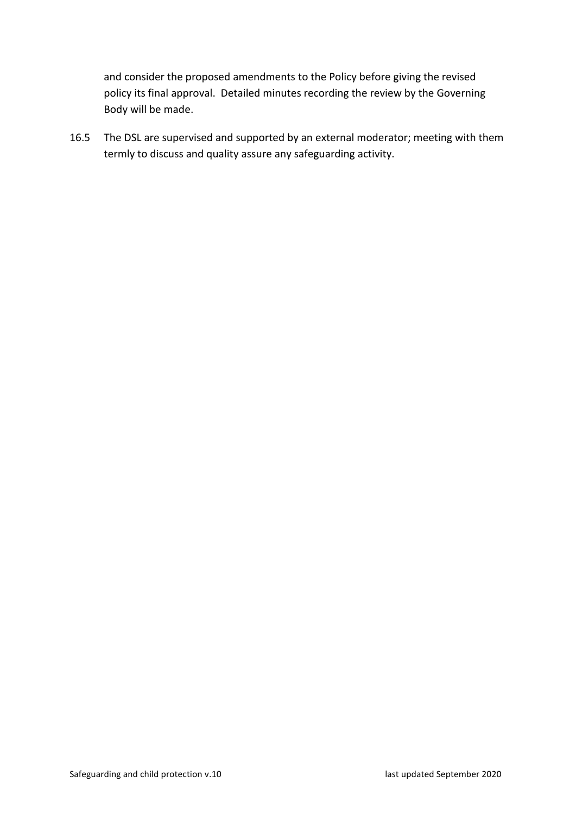and consider the proposed amendments to the Policy before giving the revised policy its final approval. Detailed minutes recording the review by the Governing Body will be made.

16.5 The DSL are supervised and supported by an external moderator; meeting with them termly to discuss and quality assure any safeguarding activity.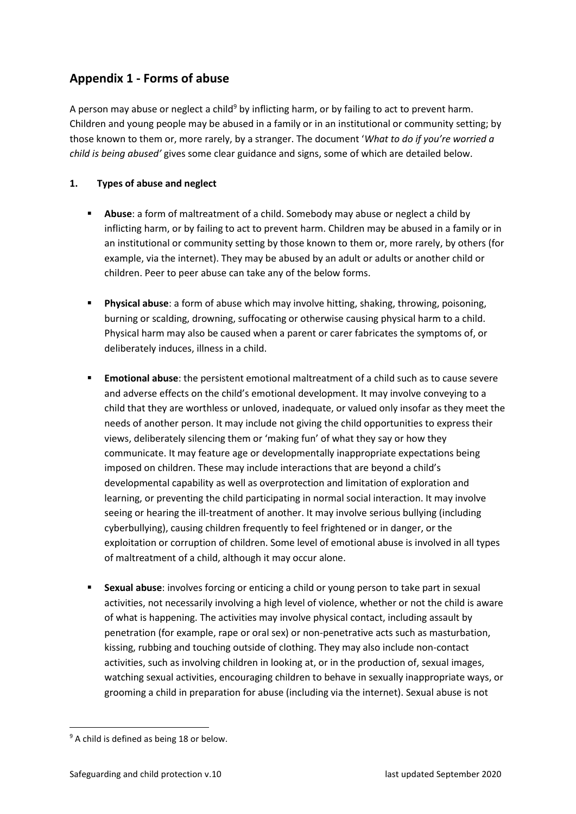# <span id="page-26-0"></span>**Appendix 1 - Forms of abuse**

A person may abuse or neglect a child<sup>9</sup> by inflicting harm, or by failing to act to prevent harm. Children and young people may be abused in a family or in an institutional or community setting; by those known to them or, more rarely, by a stranger. The document '*What to do if you're worried a child is being abused'* gives some clear guidance and signs, some of which are detailed below.

#### **1. Types of abuse and neglect**

- **EXECT** Abuse: a form of maltreatment of a child. Somebody may abuse or neglect a child by inflicting harm, or by failing to act to prevent harm. Children may be abused in a family or in an institutional or community setting by those known to them or, more rarely, by others (for example, via the internet). They may be abused by an adult or adults or another child or children. Peer to peer abuse can take any of the below forms.
- **Physical abuse**: a form of abuse which may involve hitting, shaking, throwing, poisoning, burning or scalding, drowning, suffocating or otherwise causing physical harm to a child. Physical harm may also be caused when a parent or carer fabricates the symptoms of, or deliberately induces, illness in a child.
- **Emotional abuse**: the persistent emotional maltreatment of a child such as to cause severe and adverse effects on the child's emotional development. It may involve conveying to a child that they are worthless or unloved, inadequate, or valued only insofar as they meet the needs of another person. It may include not giving the child opportunities to express their views, deliberately silencing them or 'making fun' of what they say or how they communicate. It may feature age or developmentally inappropriate expectations being imposed on children. These may include interactions that are beyond a child's developmental capability as well as overprotection and limitation of exploration and learning, or preventing the child participating in normal social interaction. It may involve seeing or hearing the ill-treatment of another. It may involve serious bullying (including cyberbullying), causing children frequently to feel frightened or in danger, or the exploitation or corruption of children. Some level of emotional abuse is involved in all types of maltreatment of a child, although it may occur alone.
- **E** Sexual abuse: involves forcing or enticing a child or young person to take part in sexual activities, not necessarily involving a high level of violence, whether or not the child is aware of what is happening. The activities may involve physical contact, including assault by penetration (for example, rape or oral sex) or non-penetrative acts such as masturbation, kissing, rubbing and touching outside of clothing. They may also include non-contact activities, such as involving children in looking at, or in the production of, sexual images, watching sexual activities, encouraging children to behave in sexually inappropriate ways, or grooming a child in preparation for abuse (including via the internet). Sexual abuse is not

<sup>&</sup>lt;sup>9</sup> A child is defined as being 18 or below.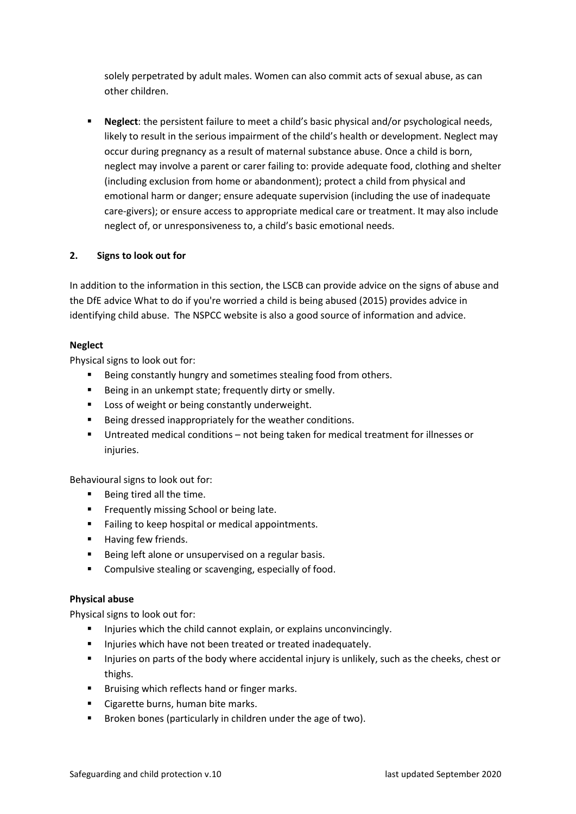solely perpetrated by adult males. Women can also commit acts of sexual abuse, as can other children.

▪ **Neglect**: the persistent failure to meet a child's basic physical and/or psychological needs, likely to result in the serious impairment of the child's health or development. Neglect may occur during pregnancy as a result of maternal substance abuse. Once a child is born, neglect may involve a parent or carer failing to: provide adequate food, clothing and shelter (including exclusion from home or abandonment); protect a child from physical and emotional harm or danger; ensure adequate supervision (including the use of inadequate care-givers); or ensure access to appropriate medical care or treatment. It may also include neglect of, or unresponsiveness to, a child's basic emotional needs.

#### **2. Signs to look out for**

In addition to the information in this section, the LSCB can provide advice on the signs of abuse and the DfE advice What to do if you're worried a child is being abused (2015) provides advice in identifying child abuse. The NSPCC website is also a good source of information and advice.

#### **Neglect**

Physical signs to look out for:

- Being constantly hungry and sometimes stealing food from others.
- Being in an unkempt state; frequently dirty or smelly.
- Loss of weight or being constantly underweight.
- Being dressed inappropriately for the weather conditions.
- Untreated medical conditions not being taken for medical treatment for illnesses or injuries.

Behavioural signs to look out for:

- Being tired all the time.
- Frequently missing School or being late.
- Failing to keep hospital or medical appointments.
- Having few friends.
- Being left alone or unsupervised on a regular basis.
- Compulsive stealing or scavenging, especially of food.

#### **Physical abuse**

Physical signs to look out for:

- Injuries which the child cannot explain, or explains unconvincingly.
- **E** Injuries which have not been treated or treated inadequately.
- **.** Injuries on parts of the body where accidental injury is unlikely, such as the cheeks, chest or thighs.
- Bruising which reflects hand or finger marks.
- Cigarette burns, human bite marks.
- Broken bones (particularly in children under the age of two).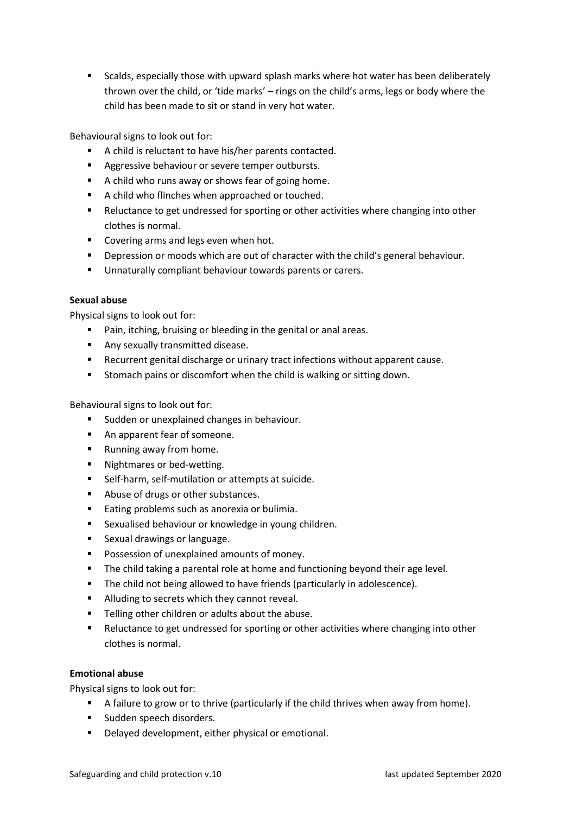■ Scalds, especially those with upward splash marks where hot water has been deliberately thrown over the child, or 'tide marks' – rings on the child's arms, legs or body where the child has been made to sit or stand in very hot water.

Behavioural signs to look out for:

- A child is reluctant to have his/her parents contacted.
- Aggressive behaviour or severe temper outbursts.
- A child who runs away or shows fear of going home.
- A child who flinches when approached or touched.
- Reluctance to get undressed for sporting or other activities where changing into other clothes is normal.
- Covering arms and legs even when hot.
- **•** Depression or moods which are out of character with the child's general behaviour.
- Unnaturally compliant behaviour towards parents or carers.

#### **Sexual abuse**

Physical signs to look out for:

- Pain, itching, bruising or bleeding in the genital or anal areas.
- Any sexually transmitted disease.
- Recurrent genital discharge or urinary tract infections without apparent cause.
- Stomach pains or discomfort when the child is walking or sitting down.

Behavioural signs to look out for:

- Sudden or unexplained changes in behaviour.
- An apparent fear of someone.
- Running away from home.
- Nightmares or bed-wetting.
- Self-harm, self-mutilation or attempts at suicide.
- Abuse of drugs or other substances.
- Eating problems such as anorexia or bulimia.
- Sexualised behaviour or knowledge in young children.
- Sexual drawings or language.
- Possession of unexplained amounts of money.
- The child taking a parental role at home and functioning beyond their age level.
- The child not being allowed to have friends (particularly in adolescence).
- Alluding to secrets which they cannot reveal.
- Telling other children or adults about the abuse.
- Reluctance to get undressed for sporting or other activities where changing into other clothes is normal.

#### **Emotional abuse**

Physical signs to look out for:

- A failure to grow or to thrive (particularly if the child thrives when away from home).
- Sudden speech disorders.
- Delayed development, either physical or emotional.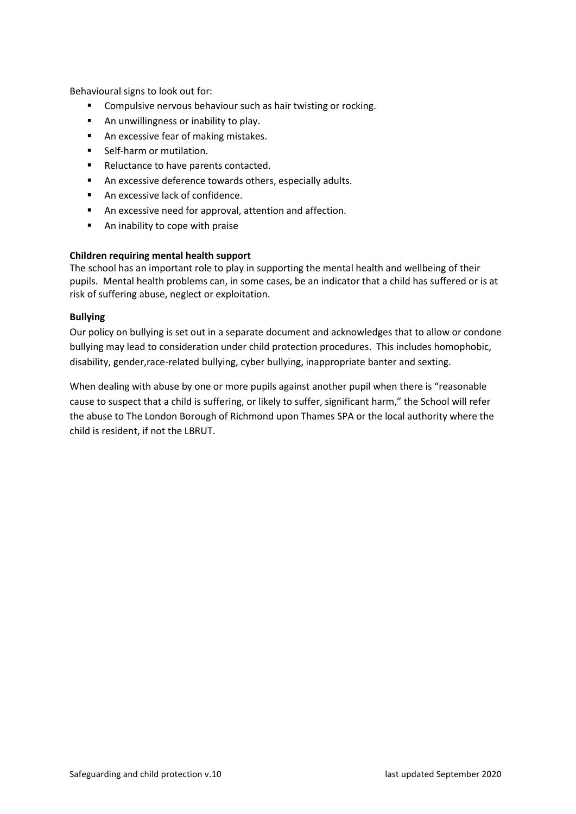Behavioural signs to look out for:

- Compulsive nervous behaviour such as hair twisting or rocking.
- An unwillingness or inability to play.
- An excessive fear of making mistakes.
- Self-harm or mutilation.
- Reluctance to have parents contacted.
- An excessive deference towards others, especially adults.
- An excessive lack of confidence.
- An excessive need for approval, attention and affection.
- An inability to cope with praise

#### **Children requiring mental health support**

The school has an important role to play in supporting the mental health and wellbeing of their pupils. Mental health problems can, in some cases, be an indicator that a child has suffered or is at risk of suffering abuse, neglect or exploitation.

#### **Bullying**

Our policy on bullying is set out in a separate document and acknowledges that to allow or condone bullying may lead to consideration under child protection procedures. This includes homophobic, disability, gender,race-related bullying, cyber bullying, inappropriate banter and sexting.

When dealing with abuse by one or more pupils against another pupil when there is "reasonable cause to suspect that a child is suffering, or likely to suffer, significant harm," the School will refer the abuse to The London Borough of Richmond upon Thames SPA or the local authority where the child is resident, if not the LBRUT.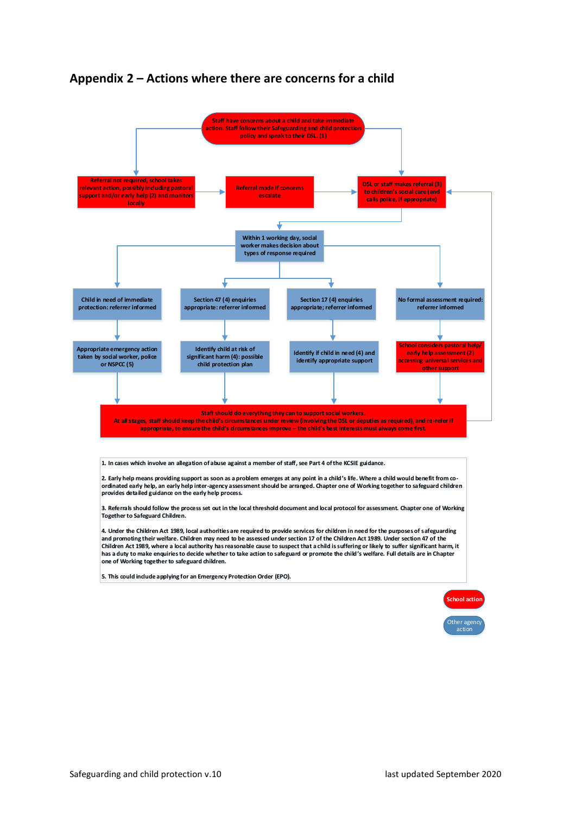<span id="page-30-0"></span>



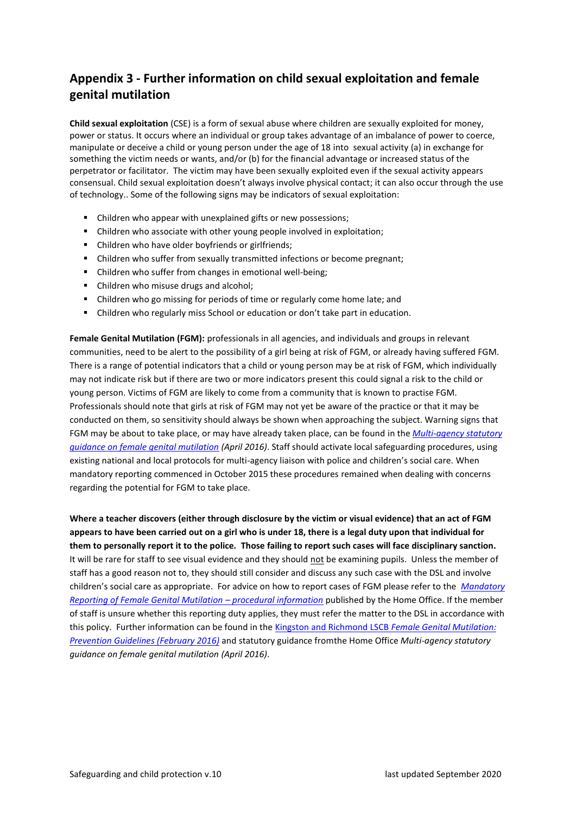# <span id="page-31-0"></span>**Appendix 3 - Further information on child sexual exploitation and female genital mutilation**

**Child sexual exploitation** (CSE) is a form of sexual abuse where children are sexually exploited for money, power or status. It occurs where an individual or group takes advantage of an imbalance of power to coerce, manipulate or deceive a child or young person under the age of 18 into sexual activity (a) in exchange for something the victim needs or wants, and/or (b) for the financial advantage or increased status of the perpetrator or facilitator. The victim may have been sexually exploited even if the sexual activity appears consensual. Child sexual exploitation doesn't always involve physical contact; it can also occur through the use of technology.. Some of the following signs may be indicators of sexual exploitation:

- Children who appear with unexplained gifts or new possessions;
- Children who associate with other young people involved in exploitation;
- Children who have older boyfriends or girlfriends;
- Children who suffer from sexually transmitted infections or become pregnant;
- Children who suffer from changes in emotional well-being;
- Children who misuse drugs and alcohol;
- Children who go missing for periods of time or regularly come home late; and
- Children who regularly miss School or education or don't take part in education.

**Female Genital Mutilation (FGM):** professionals in all agencies, and individuals and groups in relevant communities, need to be alert to the possibility of a girl being at risk of FGM, or already having suffered FGM. There is a range of potential indicators that a child or young person may be at risk of FGM, which individually may not indicate risk but if there are two or more indicators present this could signal a risk to the child or young person. Victims of FGM are likely to come from a community that is known to practise FGM. Professionals should note that girls at risk of FGM may not yet be aware of the practice or that it may be conducted on them, so sensitivity should always be shown when approaching the subject. Warning signs that FGM may be about to take place, or may have already taken place, can be found in the *[Multi-agency statutory](https://www.gov.uk/government/publications/multi-agency-statutory-guidance-on-female-genital-mutilation)  [guidance on female genital mutilation](https://www.gov.uk/government/publications/multi-agency-statutory-guidance-on-female-genital-mutilation) (April 2016)*. Staff should activate local safeguarding procedures, using existing national and local protocols for multi-agency liaison with police and children's social care. When mandatory reporting commenced in October 2015 these procedures remained when dealing with concerns regarding the potential for FGM to take place.

**Where a teacher discovers (either through disclosure by the victim or visual evidence) that an act of FGM appears to have been carried out on a girl who is under 18, there is a legal duty upon that individual for them to personally report it to the police. Those failing to report such cases will face disciplinary sanction.**  It will be rare for staff to see visual evidence and they should not be examining pupils. Unless the member of staff has a good reason not to, they should still consider and discuss any such case with the DSL and involve children's social care as appropriate. For advice on how to report cases of FGM please refer to the *[Mandatory](https://www.gov.uk/government/publications/mandatory-reporting-of-female-genital-mutilation-procedural-information)  [Reporting of Female Genital Mutilation](https://www.gov.uk/government/publications/mandatory-reporting-of-female-genital-mutilation-procedural-information) – procedural information* published by the Home Office. If the member of staff is unsure whether this reporting duty applies, they must refer the matter to the DSL in accordance with this policy. Further information can be found in the [Kingston and Richmond LSCB](http://kingstonandrichmondlscb.org.uk/media/upload/fck/file/Policies%20and%20Procedures/Richmond%20and%20Kingston%20LSCB%20FGM%20Policy%20Final%202016.pdf) *Female Genital Mutilation: [Prevention Guidelines \(February 2016\)](http://kingstonandrichmondlscb.org.uk/media/upload/fck/file/Policies%20and%20Procedures/Richmond%20and%20Kingston%20LSCB%20FGM%20Policy%20Final%202016.pdf)* and statutory guidance fromthe Home Office *Multi-agency statutory guidance on female genital mutilation (April 2016)*.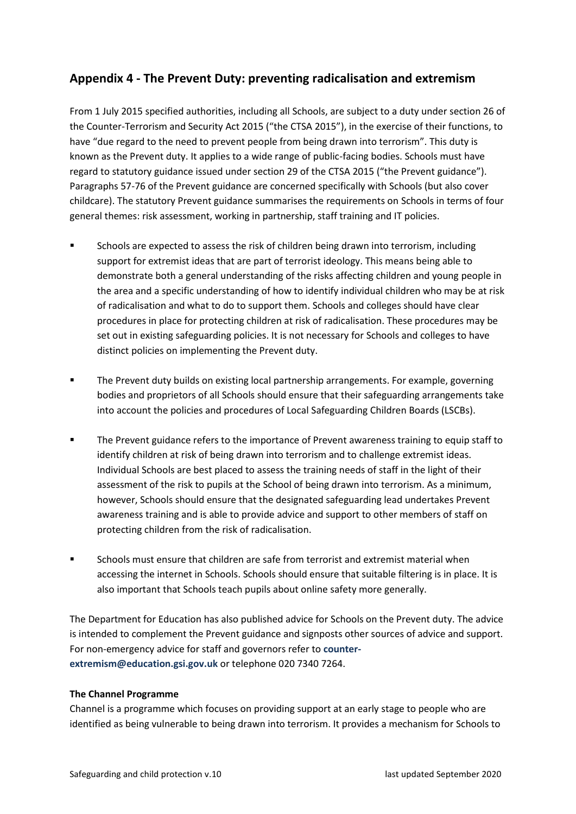# <span id="page-32-0"></span>**Appendix 4 - The Prevent Duty: preventing radicalisation and extremism**

From 1 July 2015 specified authorities, including all Schools, are subject to a duty under section 26 of the Counter-Terrorism and Security Act 2015 ("the CTSA 2015"), in the exercise of their functions, to have "due regard to the need to prevent people from being drawn into terrorism". This duty is known as the Prevent duty. It applies to a wide range of public-facing bodies. Schools must have regard to statutory guidance issued under section 29 of the CTSA 2015 ("the Prevent guidance"). Paragraphs 57-76 of the Prevent guidance are concerned specifically with Schools (but also cover childcare). The statutory Prevent guidance summarises the requirements on Schools in terms of four general themes: risk assessment, working in partnership, staff training and IT policies.

- **EXECT** Schools are expected to assess the risk of children being drawn into terrorism, including support for extremist ideas that are part of terrorist ideology. This means being able to demonstrate both a general understanding of the risks affecting children and young people in the area and a specific understanding of how to identify individual children who may be at risk of radicalisation and what to do to support them. Schools and colleges should have clear procedures in place for protecting children at risk of radicalisation. These procedures may be set out in existing safeguarding policies. It is not necessary for Schools and colleges to have distinct policies on implementing the Prevent duty.
- The Prevent duty builds on existing local partnership arrangements. For example, governing bodies and proprietors of all Schools should ensure that their safeguarding arrangements take into account the policies and procedures of Local Safeguarding Children Boards (LSCBs).
- The Prevent guidance refers to the importance of Prevent awareness training to equip staff to identify children at risk of being drawn into terrorism and to challenge extremist ideas. Individual Schools are best placed to assess the training needs of staff in the light of their assessment of the risk to pupils at the School of being drawn into terrorism. As a minimum, however, Schools should ensure that the designated safeguarding lead undertakes Prevent awareness training and is able to provide advice and support to other members of staff on protecting children from the risk of radicalisation.
- Schools must ensure that children are safe from terrorist and extremist material when accessing the internet in Schools. Schools should ensure that suitable filtering is in place. It is also important that Schools teach pupils about online safety more generally.

The Department for Education has also published advice for Schools on the Prevent duty. The advice is intended to complement the Prevent guidance and signposts other sources of advice and support. For non-emergency advice for staff and governors refer to **[counter](mailto:counter-extremism@education.gsi.gov.uk)[extremism@education.gsi.gov.uk](mailto:counter-extremism@education.gsi.gov.uk)** or telephone 020 7340 7264.

#### **The Channel Programme**

Channel is a programme which focuses on providing support at an early stage to people who are identified as being vulnerable to being drawn into terrorism. It provides a mechanism for Schools to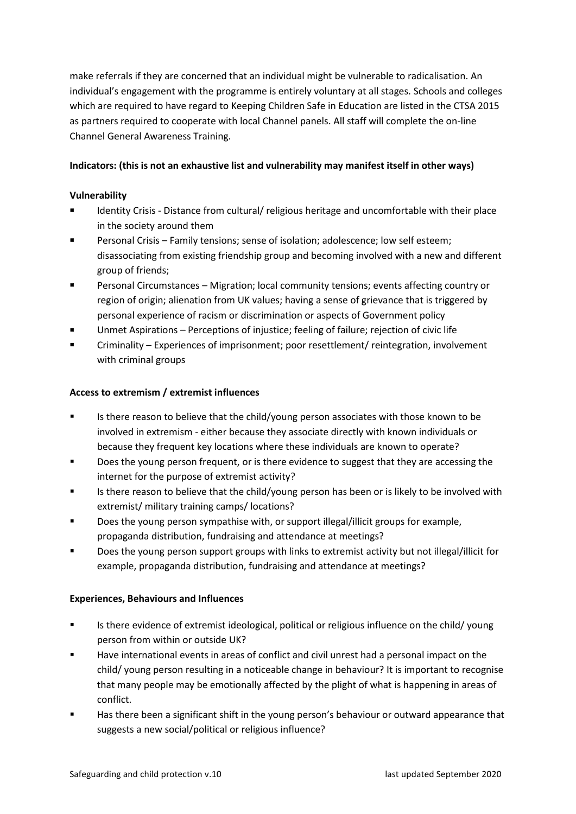make referrals if they are concerned that an individual might be vulnerable to radicalisation. An individual's engagement with the programme is entirely voluntary at all stages. Schools and colleges which are required to have regard to Keeping Children Safe in Education are listed in the CTSA 2015 as partners required to cooperate with local Channel panels. All staff will complete the on-line Channel General Awareness Training.

#### **Indicators: (this is not an exhaustive list and vulnerability may manifest itself in other ways)**

#### **Vulnerability**

- Identity Crisis Distance from cultural/ religious heritage and uncomfortable with their place in the society around them
- Personal Crisis Family tensions; sense of isolation; adolescence; low self esteem; disassociating from existing friendship group and becoming involved with a new and different group of friends;
- Personal Circumstances Migration; local community tensions; events affecting country or region of origin; alienation from UK values; having a sense of grievance that is triggered by personal experience of racism or discrimination or aspects of Government policy
- Unmet Aspirations Perceptions of injustice; feeling of failure; rejection of civic life
- Criminality Experiences of imprisonment; poor resettlement/ reintegration, involvement with criminal groups

#### **Access to extremism / extremist influences**

- Is there reason to believe that the child/young person associates with those known to be involved in extremism - either because they associate directly with known individuals or because they frequent key locations where these individuals are known to operate?
- Does the young person frequent, or is there evidence to suggest that they are accessing the internet for the purpose of extremist activity?
- Is there reason to believe that the child/young person has been or is likely to be involved with extremist/ military training camps/ locations?
- Does the young person sympathise with, or support illegal/illicit groups for example, propaganda distribution, fundraising and attendance at meetings?
- Does the young person support groups with links to extremist activity but not illegal/illicit for example, propaganda distribution, fundraising and attendance at meetings?

#### **Experiences, Behaviours and Influences**

- Is there evidence of extremist ideological, political or religious influence on the child/ young person from within or outside UK?
- Have international events in areas of conflict and civil unrest had a personal impact on the child/ young person resulting in a noticeable change in behaviour? It is important to recognise that many people may be emotionally affected by the plight of what is happening in areas of conflict.
- **■** Has there been a significant shift in the young person's behaviour or outward appearance that suggests a new social/political or religious influence?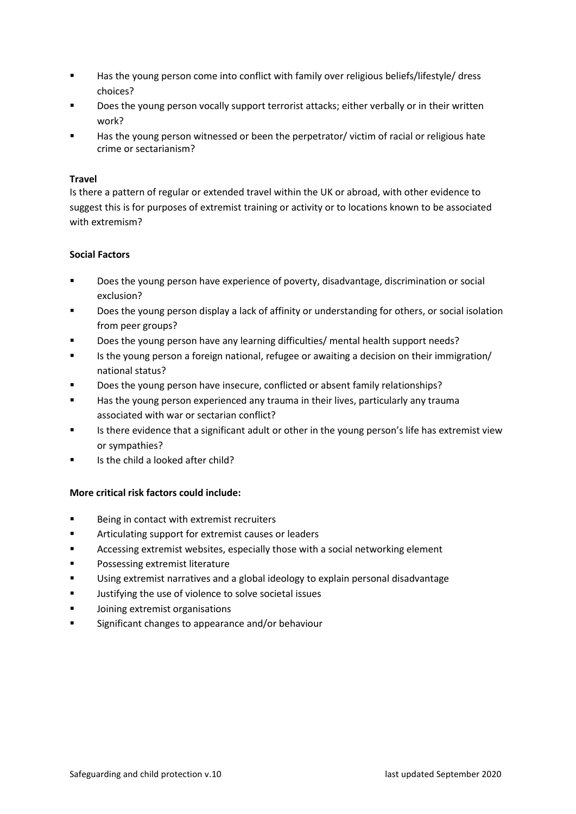- Has the young person come into conflict with family over religious beliefs/lifestyle/ dress choices?
- Does the young person vocally support terrorist attacks; either verbally or in their written work?
- Has the young person witnessed or been the perpetrator/ victim of racial or religious hate crime or sectarianism?

#### **Travel**

Is there a pattern of regular or extended travel within the UK or abroad, with other evidence to suggest this is for purposes of extremist training or activity or to locations known to be associated with extremism?

#### **Social Factors**

- Does the young person have experience of poverty, disadvantage, discrimination or social exclusion?
- Does the young person display a lack of affinity or understanding for others, or social isolation from peer groups?
- Does the young person have any learning difficulties/ mental health support needs?
- Is the young person a foreign national, refugee or awaiting a decision on their immigration/ national status?
- Does the young person have insecure, conflicted or absent family relationships?
- Has the young person experienced any trauma in their lives, particularly any trauma associated with war or sectarian conflict?
- Is there evidence that a significant adult or other in the young person's life has extremist view or sympathies?
- Is the child a looked after child?

#### **More critical risk factors could include:**

- Being in contact with extremist recruiters
- Articulating support for extremist causes or leaders
- Accessing extremist websites, especially those with a social networking element
- Possessing extremist literature
- Using extremist narratives and a global ideology to explain personal disadvantage
- Justifying the use of violence to solve societal issues
- Joining extremist organisations
- Significant changes to appearance and/or behaviour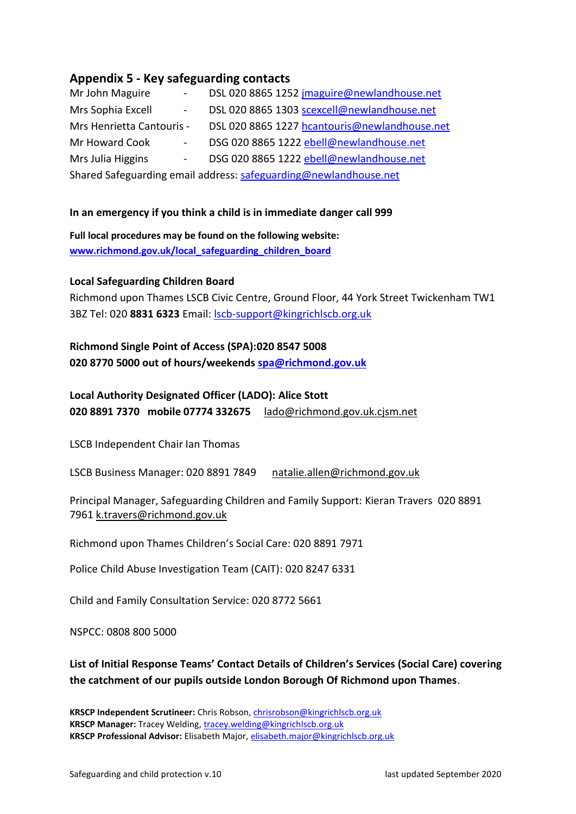# <span id="page-35-0"></span>**Appendix 5 - Key safeguarding contacts**

| Mr John Maguire<br>$\sim 100$                                    | DSL 020 8865 1252 jmaguire@newlandhouse.net   |  |  |  |
|------------------------------------------------------------------|-----------------------------------------------|--|--|--|
| Mrs Sophia Excell<br>$\sim 100$                                  | DSL 020 8865 1303 scexcell@newlandhouse.net   |  |  |  |
| Mrs Henrietta Cantouris -                                        | DSL 020 8865 1227 hcantouris@newlandhouse.net |  |  |  |
| Mr Howard Cook<br>$\frac{1}{2}$ and $\frac{1}{2}$                | DSG 020 8865 1222 ebell@newlandhouse.net      |  |  |  |
| Mrs Julia Higgins<br>$\sim 100$                                  | DSG 020 8865 1222 ebell@newlandhouse.net      |  |  |  |
| Shared Safeguarding email address: safeguarding@newlandhouse.net |                                               |  |  |  |

#### **In an emergency if you think a child is in immediate danger call 999**

**Full local procedures may be found on the following website: [www.richmond.gov.uk/local\\_safeguarding\\_children\\_board](http://www.richmond.gov.uk/local_safeguarding_children_board)**

#### **Local Safeguarding Children Board**

Richmond upon Thames LSCB Civic Centre, Ground Floor, 44 York Street Twickenham TW1 3BZ Tel: 020 **8831 6323** Email: [lscb-support@kingrichlscb.org.uk](mailto:lscb-support@kingrichlscb.org.uk)

# **Richmond Single Point of Access (SPA):020 8547 5008 020 8770 5000 out of hours/weekends [spa@richmond.gov.uk](mailto:spa@richmond.gov.uk)**

# **Local Authority Designated Officer (LADO): Alice Stott 020 8891 7370 mobile 07774 332675** [lado@richmond.gov.uk.cjsm.net](mailto:lado@richmond.gov.uk.cjsm.net)

LSCB Independent Chair Ian Thomas

LSCB Business Manager: 020 8891 7849 [natalie.allen@richmond.gov.uk](mailto:natalie.allen@richmond.gov.uk)

Principal Manager, Safeguarding Children and Family Support: Kieran Travers 020 8891 7961 [k.travers@richmond.gov.uk](mailto:k.travers@richmond.gov.uk)

Richmond upon Thames Children's Social Care: 020 8891 7971

Police Child Abuse Investigation Team (CAIT): 020 8247 6331

Child and Family Consultation Service: 020 8772 5661

NSPCC: 0808 800 5000

# **List of Initial Response Teams' Contact Details of Children's Services (Social Care) covering the catchment of our pupils outside London Borough Of Richmond upon Thames**.

**KRSCP Independent Scrutineer:** Chris Robson, [chrisrobson@kingrichlscb.org.uk](mailto:chrisrobson@kingrichlscb.org.uk) **KRSCP Manager:** Tracey Welding, [tracey.welding@kingrichlscb.org.uk](mailto:tracey.welding@kingrichlscb.org.uk) **KRSCP Professional Advisor:** Elisabeth Major, [elisabeth.major@kingrichlscb.org.uk](mailto:elisabeth.major@kingrichlscb.org.uk)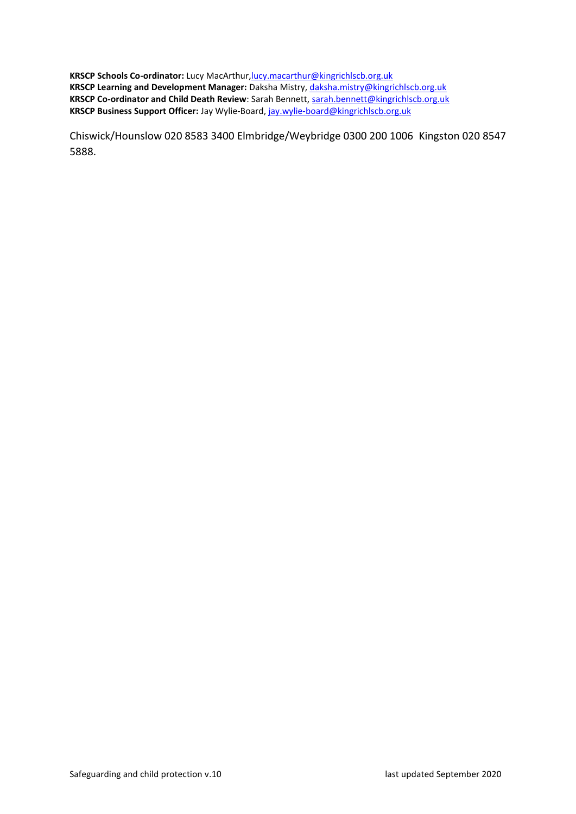**KRSCP Schools Co-ordinator:** Lucy MacArthur, lucy.macarthur@kingrichlscb.org.uk **KRSCP Learning and Development Manager:** Daksha Mistry, [daksha.mistry@kingrichlscb.org.uk](mailto:daksha.mistry@kingrichlscb.org.uk) **KRSCP Co-ordinator and Child Death Review**: Sarah Bennett, [sarah.bennett@kingrichlscb.org.uk](mailto:sarah.bennett@kingrichlscb.org.uk) **KRSCP Business Support Officer:** Jay Wylie-Board, [jay.wylie-board@kingrichlscb.org.uk](mailto:jay.wylie-board@kingrichlscb.org.uk)

Chiswick/Hounslow 020 8583 3400 Elmbridge/Weybridge 0300 200 1006 Kingston 020 8547 5888.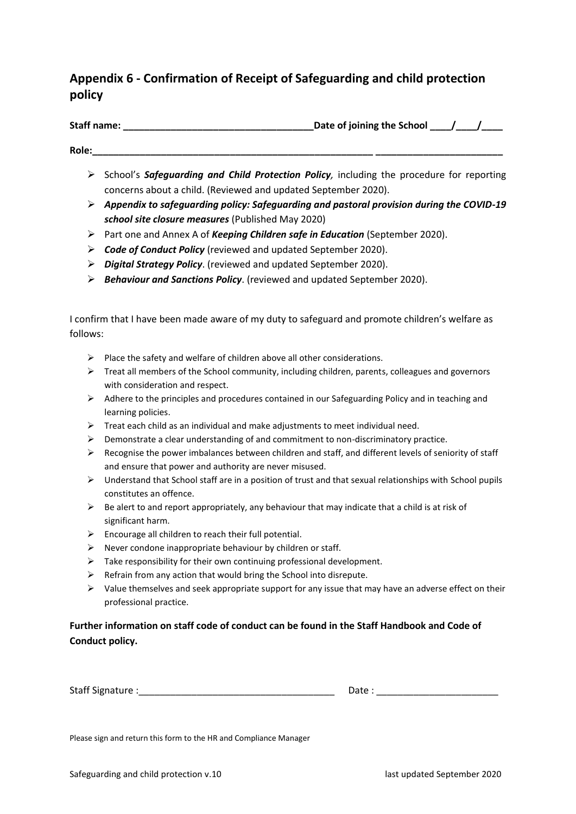# <span id="page-37-0"></span>**Appendix 6 - Confirmation of Receipt of Safeguarding and child protection policy**

Staff name: **Contained the School and School and School and School and School and School and School and School and School and School and School and School and School and School and School and School and School and School a** 

# **Role:\_\_\_\_\_\_\_\_\_\_\_\_\_\_\_\_\_\_\_\_\_\_\_\_\_\_\_\_\_\_\_\_\_\_\_\_\_\_\_\_\_\_\_\_\_\_\_\_\_\_\_\_\_ \_\_\_\_\_\_\_\_\_\_\_\_\_\_\_\_\_\_\_\_\_\_\_\_**

- ➢ School's *Safeguarding and Child Protection Policy,* including the procedure for reporting concerns about a child. (Reviewed and updated September 2020).
- ➢ *Appendix to safeguarding policy: Safeguarding and pastoral provision during the COVID-19 school site closure measures* (Published May 2020)
- ➢ Part one and Annex A of *Keeping Children safe in Education* (September 2020).
- ➢ *Code of Conduct Policy* (reviewed and updated September 2020).
- ➢ *Digital Strategy Policy*. (reviewed and updated September 2020).
- ➢ *Behaviour and Sanctions Policy*. (reviewed and updated September 2020).

I confirm that I have been made aware of my duty to safeguard and promote children's welfare as follows:

- $\triangleright$  Place the safety and welfare of children above all other considerations.
- $\triangleright$  Treat all members of the School community, including children, parents, colleagues and governors with consideration and respect.
- $\triangleright$  Adhere to the principles and procedures contained in our Safeguarding Policy and in teaching and learning policies.
- $\triangleright$  Treat each child as an individual and make adjustments to meet individual need.
- $\triangleright$  Demonstrate a clear understanding of and commitment to non-discriminatory practice.
- $\triangleright$  Recognise the power imbalances between children and staff, and different levels of seniority of staff and ensure that power and authority are never misused.
- ➢ Understand that School staff are in a position of trust and that sexual relationships with School pupils constitutes an offence.
- $\triangleright$  Be alert to and report appropriately, any behaviour that may indicate that a child is at risk of significant harm.
- $\triangleright$  Encourage all children to reach their full potential.
- $\triangleright$  Never condone inappropriate behaviour by children or staff.
- $\triangleright$  Take responsibility for their own continuing professional development.
- $\triangleright$  Refrain from any action that would bring the School into disrepute.
- $\triangleright$  Value themselves and seek appropriate support for any issue that may have an adverse effect on their professional practice.

# **Further information on staff code of conduct can be found in the Staff Handbook and Code of Conduct policy.**

Staff Signature :\_\_\_\_\_\_\_\_\_\_\_\_\_\_\_\_\_\_\_\_\_\_\_\_\_\_\_\_\_\_\_\_\_\_\_\_\_ Date : \_\_\_\_\_\_\_\_\_\_\_\_\_\_\_\_\_\_\_\_\_\_\_

Please sign and return this form to the HR and Compliance Manager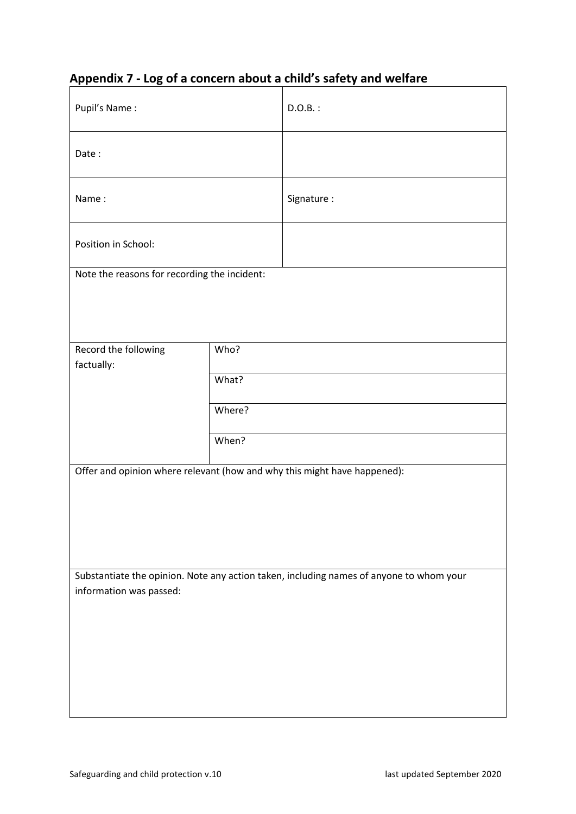| Pupil's Name:                                                                                                      |        | $D.O.B.$ :                                                               |  |  |
|--------------------------------------------------------------------------------------------------------------------|--------|--------------------------------------------------------------------------|--|--|
| Date:                                                                                                              |        |                                                                          |  |  |
| Name:                                                                                                              |        | Signature:                                                               |  |  |
| Position in School:                                                                                                |        |                                                                          |  |  |
| Note the reasons for recording the incident:                                                                       |        |                                                                          |  |  |
|                                                                                                                    |        |                                                                          |  |  |
| Record the following<br>factually:                                                                                 | Who?   |                                                                          |  |  |
|                                                                                                                    | What?  |                                                                          |  |  |
|                                                                                                                    | Where? |                                                                          |  |  |
|                                                                                                                    | When?  |                                                                          |  |  |
|                                                                                                                    |        | Offer and opinion where relevant (how and why this might have happened): |  |  |
|                                                                                                                    |        |                                                                          |  |  |
|                                                                                                                    |        |                                                                          |  |  |
|                                                                                                                    |        |                                                                          |  |  |
| Substantiate the opinion. Note any action taken, including names of anyone to whom your<br>information was passed: |        |                                                                          |  |  |
|                                                                                                                    |        |                                                                          |  |  |
|                                                                                                                    |        |                                                                          |  |  |
|                                                                                                                    |        |                                                                          |  |  |
|                                                                                                                    |        |                                                                          |  |  |
|                                                                                                                    |        |                                                                          |  |  |

# <span id="page-38-0"></span>**Appendix 7 - Log of a concern about a child's safety and welfare**

 $\overline{\phantom{a}}$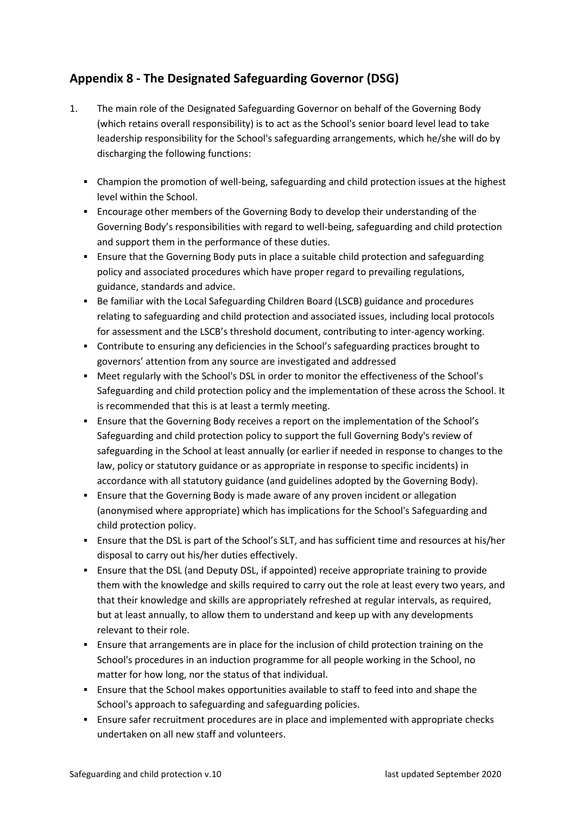# <span id="page-39-0"></span>**Appendix 8 - The Designated Safeguarding Governor (DSG)**

- 1. The main role of the Designated Safeguarding Governor on behalf of the Governing Body (which retains overall responsibility) is to act as the School's senior board level lead to take leadership responsibility for the School's safeguarding arrangements, which he/she will do by discharging the following functions:
	- Champion the promotion of well-being, safeguarding and child protection issues at the highest level within the School.
	- Encourage other members of the Governing Body to develop their understanding of the Governing Body's responsibilities with regard to well-being, safeguarding and child protection and support them in the performance of these duties.
	- Ensure that the Governing Body puts in place a suitable child protection and safeguarding policy and associated procedures which have proper regard to prevailing regulations, guidance, standards and advice.
	- Be familiar with the Local Safeguarding Children Board (LSCB) guidance and procedures relating to safeguarding and child protection and associated issues, including local protocols for assessment and the LSCB's threshold document, contributing to inter-agency working.
	- Contribute to ensuring any deficiencies in the School's safeguarding practices brought to governors' attention from any source are investigated and addressed
	- Meet regularly with the School's DSL in order to monitor the effectiveness of the School's Safeguarding and child protection policy and the implementation of these across the School. It is recommended that this is at least a termly meeting.
	- Ensure that the Governing Body receives a report on the implementation of the School's Safeguarding and child protection policy to support the full Governing Body's review of safeguarding in the School at least annually (or earlier if needed in response to changes to the law, policy or statutory guidance or as appropriate in response to specific incidents) in accordance with all statutory guidance (and guidelines adopted by the Governing Body).
	- **E** Ensure that the Governing Body is made aware of any proven incident or allegation (anonymised where appropriate) which has implications for the School's Safeguarding and child protection policy.
	- Ensure that the DSL is part of the School's SLT, and has sufficient time and resources at his/her disposal to carry out his/her duties effectively.
	- Ensure that the DSL (and Deputy DSL, if appointed) receive appropriate training to provide them with the knowledge and skills required to carry out the role at least every two years, and that their knowledge and skills are appropriately refreshed at regular intervals, as required, but at least annually, to allow them to understand and keep up with any developments relevant to their role.
	- Ensure that arrangements are in place for the inclusion of child protection training on the School's procedures in an induction programme for all people working in the School, no matter for how long, nor the status of that individual.
	- Ensure that the School makes opportunities available to staff to feed into and shape the School's approach to safeguarding and safeguarding policies.
	- Ensure safer recruitment procedures are in place and implemented with appropriate checks undertaken on all new staff and volunteers.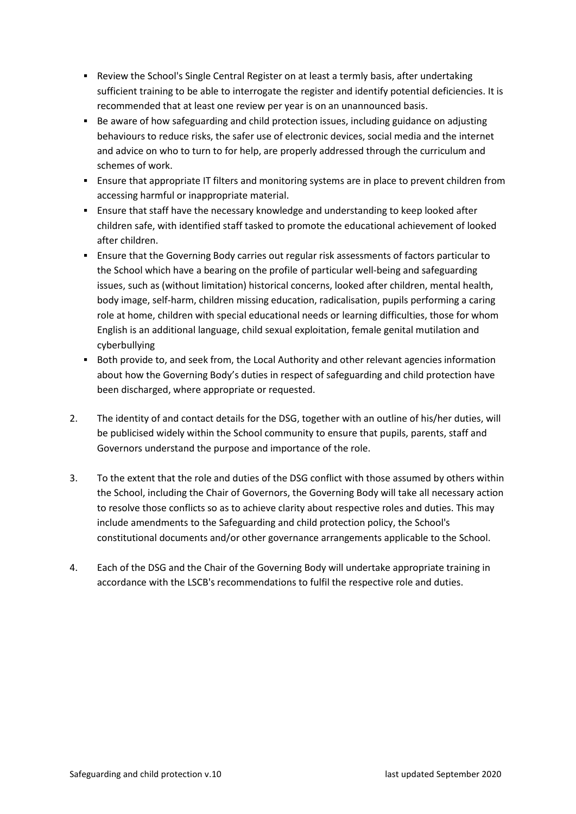- Review the School's Single Central Register on at least a termly basis, after undertaking sufficient training to be able to interrogate the register and identify potential deficiencies. It is recommended that at least one review per year is on an unannounced basis.
- Be aware of how safeguarding and child protection issues, including guidance on adjusting behaviours to reduce risks, the safer use of electronic devices, social media and the internet and advice on who to turn to for help, are properly addressed through the curriculum and schemes of work.
- Ensure that appropriate IT filters and monitoring systems are in place to prevent children from accessing harmful or inappropriate material.
- **E** Ensure that staff have the necessary knowledge and understanding to keep looked after children safe, with identified staff tasked to promote the educational achievement of looked after children.
- **E** Ensure that the Governing Body carries out regular risk assessments of factors particular to the School which have a bearing on the profile of particular well-being and safeguarding issues, such as (without limitation) historical concerns, looked after children, mental health, body image, self-harm, children missing education, radicalisation, pupils performing a caring role at home, children with special educational needs or learning difficulties, those for whom English is an additional language, child sexual exploitation, female genital mutilation and cyberbullying
- Both provide to, and seek from, the Local Authority and other relevant agencies information about how the Governing Body's duties in respect of safeguarding and child protection have been discharged, where appropriate or requested.
- 2. The identity of and contact details for the DSG, together with an outline of his/her duties, will be publicised widely within the School community to ensure that pupils, parents, staff and Governors understand the purpose and importance of the role.
- 3. To the extent that the role and duties of the DSG conflict with those assumed by others within the School, including the Chair of Governors, the Governing Body will take all necessary action to resolve those conflicts so as to achieve clarity about respective roles and duties. This may include amendments to the Safeguarding and child protection policy, the School's constitutional documents and/or other governance arrangements applicable to the School.
- 4. Each of the DSG and the Chair of the Governing Body will undertake appropriate training in accordance with the LSCB's recommendations to fulfil the respective role and duties.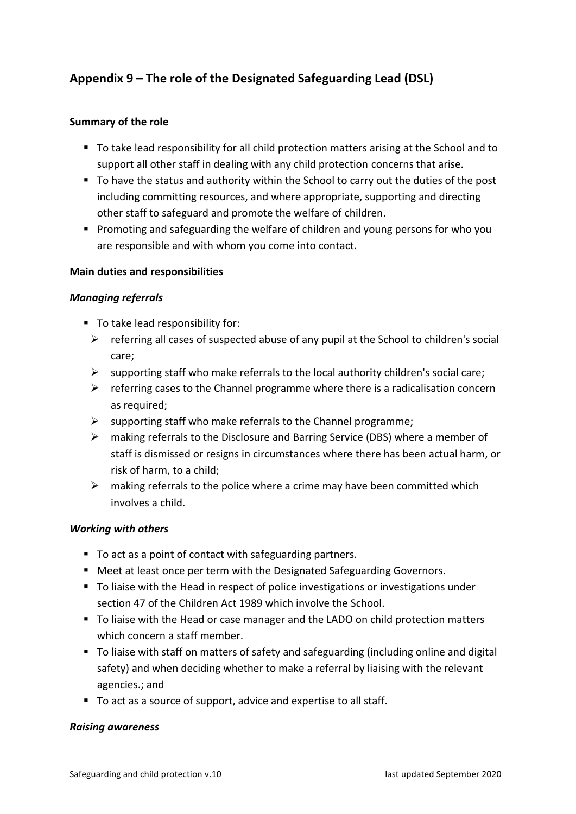# <span id="page-41-0"></span>**Appendix 9 – The role of the Designated Safeguarding Lead (DSL)**

#### **Summary of the role**

- To take lead responsibility for all child protection matters arising at the School and to support all other staff in dealing with any child protection concerns that arise.
- To have the status and authority within the School to carry out the duties of the post including committing resources, and where appropriate, supporting and directing other staff to safeguard and promote the welfare of children.
- Promoting and safeguarding the welfare of children and young persons for who you are responsible and with whom you come into contact.

#### **Main duties and responsibilities**

#### *Managing referrals*

- To take lead responsibility for:
	- $\triangleright$  referring all cases of suspected abuse of any pupil at the School to children's social care;
	- $\triangleright$  supporting staff who make referrals to the local authority children's social care;
	- $\triangleright$  referring cases to the Channel programme where there is a radicalisation concern as required;
	- $\triangleright$  supporting staff who make referrals to the Channel programme;
	- ➢ making referrals to the Disclosure and Barring Service (DBS) where a member of staff is dismissed or resigns in circumstances where there has been actual harm, or risk of harm, to a child;
	- $\triangleright$  making referrals to the police where a crime may have been committed which involves a child.

#### *Working with others*

- To act as a point of contact with safeguarding partners.
- Meet at least once per term with the Designated Safeguarding Governors.
- To liaise with the Head in respect of police investigations or investigations under section 47 of the Children Act 1989 which involve the School.
- To liaise with the Head or case manager and the LADO on child protection matters which concern a staff member.
- To liaise with staff on matters of safety and safeguarding (including online and digital safety) and when deciding whether to make a referral by liaising with the relevant agencies.; and
- To act as a source of support, advice and expertise to all staff.

#### *Raising awareness*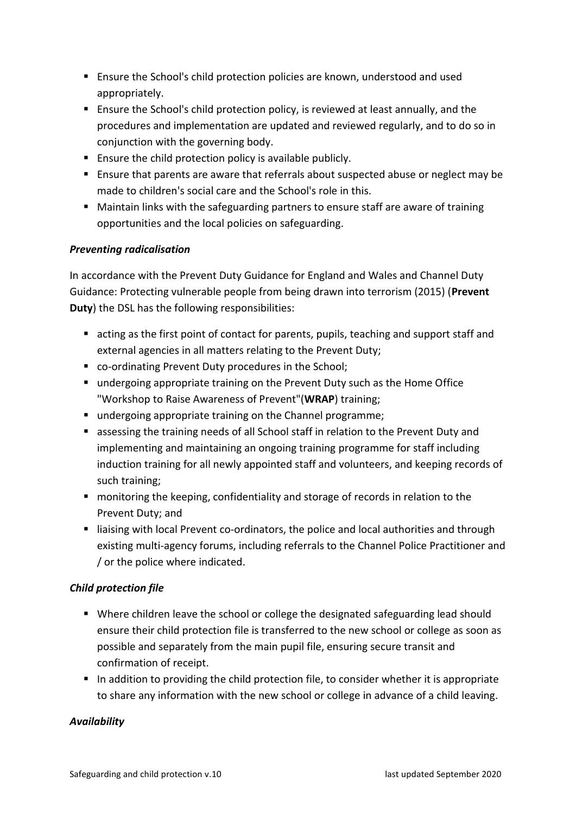- Ensure the School's child protection policies are known, understood and used appropriately.
- Ensure the School's child protection policy, is reviewed at least annually, and the procedures and implementation are updated and reviewed regularly, and to do so in conjunction with the governing body.
- Ensure the child protection policy is available publicly.
- Ensure that parents are aware that referrals about suspected abuse or neglect may be made to children's social care and the School's role in this.
- Maintain links with the safeguarding partners to ensure staff are aware of training opportunities and the local policies on safeguarding.

# *Preventing radicalisation*

In accordance with the Prevent Duty Guidance for England and Wales and Channel Duty Guidance: Protecting vulnerable people from being drawn into terrorism (2015) (**Prevent Duty**) the DSL has the following responsibilities:

- acting as the first point of contact for parents, pupils, teaching and support staff and external agencies in all matters relating to the Prevent Duty;
- co-ordinating Prevent Duty procedures in the School;
- undergoing appropriate training on the Prevent Duty such as the Home Office "Workshop to Raise Awareness of Prevent"(**WRAP**) training;
- undergoing appropriate training on the Channel programme;
- assessing the training needs of all School staff in relation to the Prevent Duty and implementing and maintaining an ongoing training programme for staff including induction training for all newly appointed staff and volunteers, and keeping records of such training;
- monitoring the keeping, confidentiality and storage of records in relation to the Prevent Duty; and
- liaising with local Prevent co-ordinators, the police and local authorities and through existing multi-agency forums, including referrals to the Channel Police Practitioner and / or the police where indicated.

# *Child protection file*

- Where children leave the school or college the designated safeguarding lead should ensure their child protection file is transferred to the new school or college as soon as possible and separately from the main pupil file, ensuring secure transit and confirmation of receipt.
- In addition to providing the child protection file, to consider whether it is appropriate to share any information with the new school or college in advance of a child leaving.

# *Availability*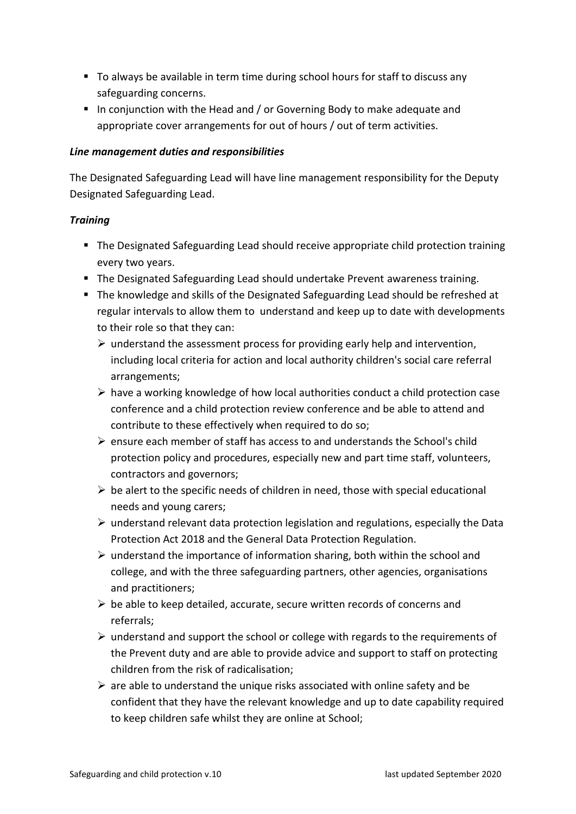- To always be available in term time during school hours for staff to discuss any safeguarding concerns.
- In conjunction with the Head and / or Governing Body to make adequate and appropriate cover arrangements for out of hours / out of term activities.

#### *Line management duties and responsibilities*

The Designated Safeguarding Lead will have line management responsibility for the Deputy Designated Safeguarding Lead.

# *Training*

- The Designated Safeguarding Lead should receive appropriate child protection training every two years.
- The Designated Safeguarding Lead should undertake Prevent awareness training.
- The knowledge and skills of the Designated Safeguarding Lead should be refreshed at regular intervals to allow them to understand and keep up to date with developments to their role so that they can:
	- $\triangleright$  understand the assessment process for providing early help and intervention, including local criteria for action and local authority children's social care referral arrangements;
	- $\triangleright$  have a working knowledge of how local authorities conduct a child protection case conference and a child protection review conference and be able to attend and contribute to these effectively when required to do so;
	- $\triangleright$  ensure each member of staff has access to and understands the School's child protection policy and procedures, especially new and part time staff, volunteers, contractors and governors;
	- $\triangleright$  be alert to the specific needs of children in need, those with special educational needs and young carers;
	- $\triangleright$  understand relevant data protection legislation and regulations, especially the Data Protection Act 2018 and the General Data Protection Regulation.
	- $\triangleright$  understand the importance of information sharing, both within the school and college, and with the three safeguarding partners, other agencies, organisations and practitioners;
	- $\triangleright$  be able to keep detailed, accurate, secure written records of concerns and referrals;
	- $\triangleright$  understand and support the school or college with regards to the requirements of the Prevent duty and are able to provide advice and support to staff on protecting children from the risk of radicalisation;
	- $\triangleright$  are able to understand the unique risks associated with online safety and be confident that they have the relevant knowledge and up to date capability required to keep children safe whilst they are online at School;